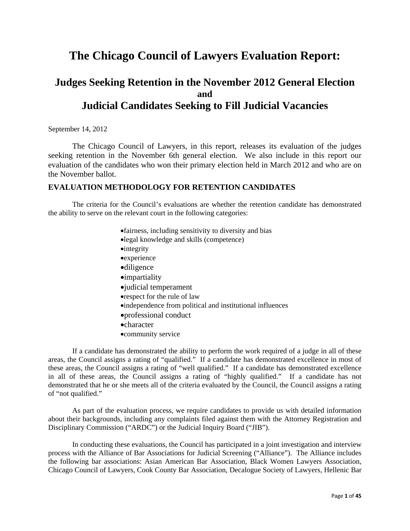# **The Chicago Council of Lawyers Evaluation Report:**

## **Judges Seeking Retention in the November 2012 General Election and Judicial Candidates Seeking to Fill Judicial Vacancies**

September 14, 2012

 The Chicago Council of Lawyers, in this report, releases its evaluation of the judges seeking retention in the November 6th general election. We also include in this report our evaluation of the candidates who won their primary election held in March 2012 and who are on the November ballot.

## **EVALUATION METHODOLOGY FOR RETENTION CANDIDATES**

The criteria for the Council's evaluations are whether the retention candidate has demonstrated the ability to serve on the relevant court in the following categories:

- fairness, including sensitivity to diversity and bias
- legal knowledge and skills (competence)
- **•**integrity
- experience
- diligence
- **•**impartiality
- judicial temperament
- respect for the rule of law
- independence from political and institutional influences
- professional conduct
- character
- community service

If a candidate has demonstrated the ability to perform the work required of a judge in all of these areas, the Council assigns a rating of "qualified." If a candidate has demonstrated excellence in most of these areas, the Council assigns a rating of "well qualified." If a candidate has demonstrated excellence in all of these areas, the Council assigns a rating of "highly qualified." If a candidate has not demonstrated that he or she meets all of the criteria evaluated by the Council, the Council assigns a rating of "not qualified."

As part of the evaluation process, we require candidates to provide us with detailed information about their backgrounds, including any complaints filed against them with the Attorney Registration and Disciplinary Commission ("ARDC") or the Judicial Inquiry Board ("JIB").

In conducting these evaluations, the Council has participated in a joint investigation and interview process with the Alliance of Bar Associations for Judicial Screening ("Alliance"). The Alliance includes the following bar associations: Asian American Bar Association, Black Women Lawyers Association, Chicago Council of Lawyers, Cook County Bar Association, Decalogue Society of Lawyers, Hellenic Bar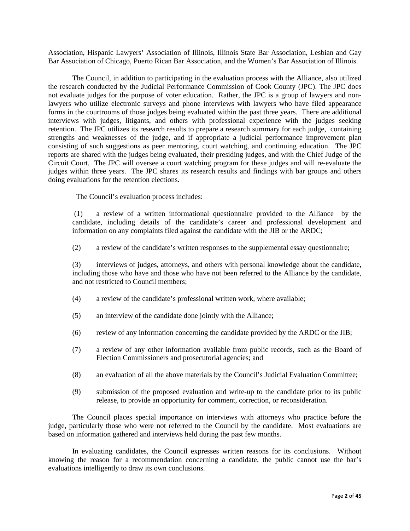Association, Hispanic Lawyers' Association of Illinois, Illinois State Bar Association, Lesbian and Gay Bar Association of Chicago, Puerto Rican Bar Association, and the Women's Bar Association of Illinois.

 The Council, in addition to participating in the evaluation process with the Alliance, also utilized the research conducted by the Judicial Performance Commission of Cook County (JPC). The JPC does not evaluate judges for the purpose of voter education. Rather, the JPC is a group of lawyers and nonlawyers who utilize electronic surveys and phone interviews with lawyers who have filed appearance forms in the courtrooms of those judges being evaluated within the past three years. There are additional interviews with judges, litigants, and others with professional experience with the judges seeking retention. The JPC utilizes its research results to prepare a research summary for each judge, containing strengths and weaknesses of the judge, and if appropriate a judicial performance improvement plan consisting of such suggestions as peer mentoring, court watching, and continuing education. The JPC reports are shared with the judges being evaluated, their presiding judges, and with the Chief Judge of the Circuit Court. The JPC will oversee a court watching program for these judges and will re-evaluate the judges within three years. The JPC shares its research results and findings with bar groups and others doing evaluations for the retention elections.

The Council's evaluation process includes:

 (1) a review of a written informational questionnaire provided to the Alliance by the candidate, including details of the candidate's career and professional development and information on any complaints filed against the candidate with the JIB or the ARDC;

(2) a review of the candidate's written responses to the supplemental essay questionnaire;

(3) interviews of judges, attorneys, and others with personal knowledge about the candidate, including those who have and those who have not been referred to the Alliance by the candidate, and not restricted to Council members;

- (4) a review of the candidate's professional written work, where available;
- (5) an interview of the candidate done jointly with the Alliance;
- (6) review of any information concerning the candidate provided by the ARDC or the JIB;
- (7) a review of any other information available from public records, such as the Board of Election Commissioners and prosecutorial agencies; and
- (8) an evaluation of all the above materials by the Council's Judicial Evaluation Committee;
- (9) submission of the proposed evaluation and write-up to the candidate prior to its public release, to provide an opportunity for comment, correction, or reconsideration.

The Council places special importance on interviews with attorneys who practice before the judge, particularly those who were not referred to the Council by the candidate. Most evaluations are based on information gathered and interviews held during the past few months.

In evaluating candidates, the Council expresses written reasons for its conclusions. Without knowing the reason for a recommendation concerning a candidate, the public cannot use the bar's evaluations intelligently to draw its own conclusions.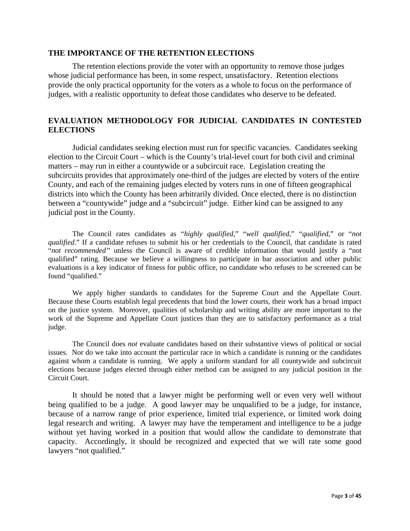#### **THE IMPORTANCE OF THE RETENTION ELECTIONS**

The retention elections provide the voter with an opportunity to remove those judges whose judicial performance has been, in some respect, unsatisfactory. Retention elections provide the only practical opportunity for the voters as a whole to focus on the performance of judges, with a realistic opportunity to defeat those candidates who deserve to be defeated.

## **EVALUATION METHODOLOGY FOR JUDICIAL CANDIDATES IN CONTESTED ELECTIONS**

Judicial candidates seeking election must run for specific vacancies. Candidates seeking election to the Circuit Court – which is the County's trial-level court for both civil and criminal matters – may run in either a countywide or a subcircuit race. Legislation creating the subcircuits provides that approximately one-third of the judges are elected by voters of the entire County, and each of the remaining judges elected by voters runs in one of fifteen geographical districts into which the County has been arbitrarily divided. Once elected, there is no distinction between a "countywide" judge and a "subcircuit" judge. Either kind can be assigned to any judicial post in the County.

The Council rates candidates as "*highly qualified*," "*well qualified*," "*qualified*," or "*not qualified*." If a candidate refuses to submit his or her credentials to the Council, that candidate is rated "*not recommended"* unless the Council is aware of credible information that would justify a "not qualified" rating. Because we believe a willingness to participate in bar association and other public evaluations is a key indicator of fitness for public office, no candidate who refuses to be screened can be found "qualified."

We apply higher standards to candidates for the Supreme Court and the Appellate Court. Because these Courts establish legal precedents that bind the lower courts, their work has a broad impact on the justice system. Moreover, qualities of scholarship and writing ability are more important to the work of the Supreme and Appellate Court justices than they are to satisfactory performance as a trial judge.

The Council does *not* evaluate candidates based on their substantive views of political or social issues. Nor do we take into account the particular race in which a candidate is running or the candidates against whom a candidate is running. We apply a uniform standard for all countywide and subcircuit elections because judges elected through either method can be assigned to any judicial position in the Circuit Court.

 It should be noted that a lawyer might be performing well or even very well without being qualified to be a judge. A good lawyer may be unqualified to be a judge, for instance, because of a narrow range of prior experience, limited trial experience, or limited work doing legal research and writing. A lawyer may have the temperament and intelligence to be a judge without yet having worked in a position that would allow the candidate to demonstrate that capacity. Accordingly, it should be recognized and expected that we will rate some good lawyers "not qualified."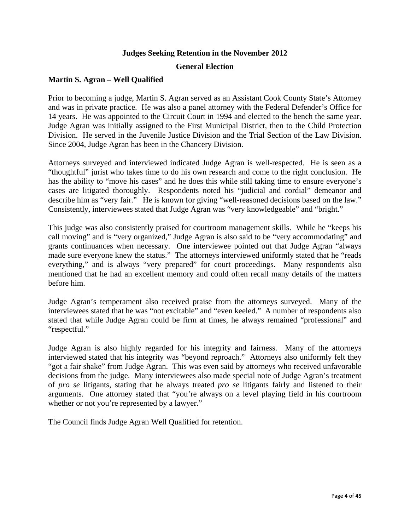## **Judges Seeking Retention in the November 2012 General Election**

## **Martin S. Agran – Well Qualified**

Prior to becoming a judge, Martin S. Agran served as an Assistant Cook County State's Attorney and was in private practice. He was also a panel attorney with the Federal Defender's Office for 14 years. He was appointed to the Circuit Court in 1994 and elected to the bench the same year. Judge Agran was initially assigned to the First Municipal District, then to the Child Protection Division. He served in the Juvenile Justice Division and the Trial Section of the Law Division. Since 2004, Judge Agran has been in the Chancery Division.

Attorneys surveyed and interviewed indicated Judge Agran is well-respected. He is seen as a "thoughtful" jurist who takes time to do his own research and come to the right conclusion. He has the ability to "move his cases" and he does this while still taking time to ensure everyone's cases are litigated thoroughly. Respondents noted his "judicial and cordial" demeanor and describe him as "very fair." He is known for giving "well-reasoned decisions based on the law." Consistently, interviewees stated that Judge Agran was "very knowledgeable" and "bright."

This judge was also consistently praised for courtroom management skills. While he "keeps his call moving" and is "very organized," Judge Agran is also said to be "very accommodating" and grants continuances when necessary. One interviewee pointed out that Judge Agran "always made sure everyone knew the status." The attorneys interviewed uniformly stated that he "reads everything," and is always "very prepared" for court proceedings. Many respondents also mentioned that he had an excellent memory and could often recall many details of the matters before him.

Judge Agran's temperament also received praise from the attorneys surveyed. Many of the interviewees stated that he was "not excitable" and "even keeled." A number of respondents also stated that while Judge Agran could be firm at times, he always remained "professional" and "respectful."

Judge Agran is also highly regarded for his integrity and fairness. Many of the attorneys interviewed stated that his integrity was "beyond reproach." Attorneys also uniformly felt they "got a fair shake" from Judge Agran. This was even said by attorneys who received unfavorable decisions from the judge. Many interviewees also made special note of Judge Agran's treatment of *pro se* litigants, stating that he always treated *pro se* litigants fairly and listened to their arguments. One attorney stated that "you're always on a level playing field in his courtroom whether or not you're represented by a lawyer."

The Council finds Judge Agran Well Qualified for retention.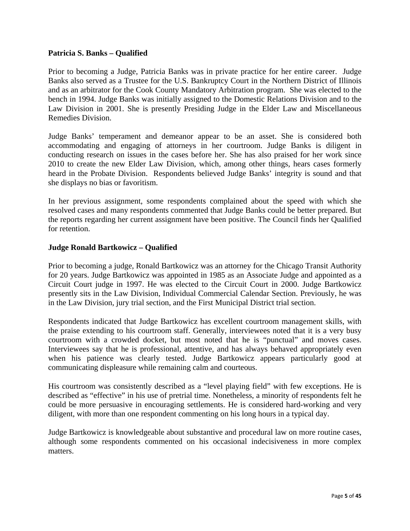## **Patricia S. Banks – Qualified**

Prior to becoming a Judge, Patricia Banks was in private practice for her entire career. Judge Banks also served as a Trustee for the U.S. Bankruptcy Court in the Northern District of Illinois and as an arbitrator for the Cook County Mandatory Arbitration program. She was elected to the bench in 1994. Judge Banks was initially assigned to the Domestic Relations Division and to the Law Division in 2001. She is presently Presiding Judge in the Elder Law and Miscellaneous Remedies Division.

Judge Banks' temperament and demeanor appear to be an asset. She is considered both accommodating and engaging of attorneys in her courtroom. Judge Banks is diligent in conducting research on issues in the cases before her. She has also praised for her work since 2010 to create the new Elder Law Division, which, among other things, hears cases formerly heard in the Probate Division. Respondents believed Judge Banks' integrity is sound and that she displays no bias or favoritism.

In her previous assignment, some respondents complained about the speed with which she resolved cases and many respondents commented that Judge Banks could be better prepared. But the reports regarding her current assignment have been positive. The Council finds her Qualified for retention.

## **Judge Ronald Bartkowicz – Qualified**

Prior to becoming a judge, Ronald Bartkowicz was an attorney for the Chicago Transit Authority for 20 years. Judge Bartkowicz was appointed in 1985 as an Associate Judge and appointed as a Circuit Court judge in 1997. He was elected to the Circuit Court in 2000. Judge Bartkowicz presently sits in the Law Division, Individual Commercial Calendar Section. Previously, he was in the Law Division, jury trial section, and the First Municipal District trial section.

Respondents indicated that Judge Bartkowicz has excellent courtroom management skills, with the praise extending to his courtroom staff. Generally, interviewees noted that it is a very busy courtroom with a crowded docket, but most noted that he is "punctual" and moves cases. Interviewees say that he is professional, attentive, and has always behaved appropriately even when his patience was clearly tested. Judge Bartkowicz appears particularly good at communicating displeasure while remaining calm and courteous.

His courtroom was consistently described as a "level playing field" with few exceptions. He is described as "effective" in his use of pretrial time. Nonetheless, a minority of respondents felt he could be more persuasive in encouraging settlements. He is considered hard-working and very diligent, with more than one respondent commenting on his long hours in a typical day.

Judge Bartkowicz is knowledgeable about substantive and procedural law on more routine cases, although some respondents commented on his occasional indecisiveness in more complex matters.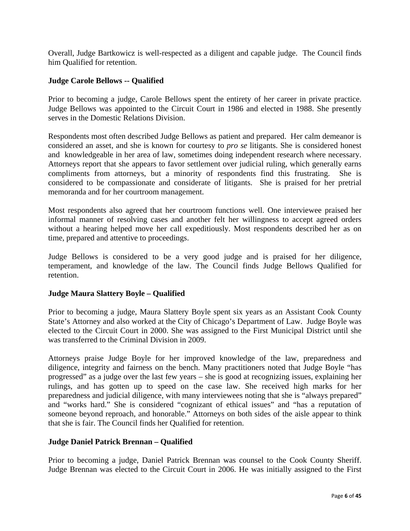Overall, Judge Bartkowicz is well-respected as a diligent and capable judge. The Council finds him Qualified for retention.

#### **Judge Carole Bellows -- Qualified**

Prior to becoming a judge, Carole Bellows spent the entirety of her career in private practice. Judge Bellows was appointed to the Circuit Court in 1986 and elected in 1988. She presently serves in the Domestic Relations Division.

Respondents most often described Judge Bellows as patient and prepared. Her calm demeanor is considered an asset, and she is known for courtesy to *pro se* litigants. She is considered honest and knowledgeable in her area of law, sometimes doing independent research where necessary. Attorneys report that she appears to favor settlement over judicial ruling, which generally earns compliments from attorneys, but a minority of respondents find this frustrating. She is considered to be compassionate and considerate of litigants. She is praised for her pretrial memoranda and for her courtroom management.

Most respondents also agreed that her courtroom functions well. One interviewee praised her informal manner of resolving cases and another felt her willingness to accept agreed orders without a hearing helped move her call expeditiously. Most respondents described her as on time, prepared and attentive to proceedings.

Judge Bellows is considered to be a very good judge and is praised for her diligence, temperament, and knowledge of the law. The Council finds Judge Bellows Qualified for retention.

#### **Judge Maura Slattery Boyle – Qualified**

Prior to becoming a judge, Maura Slattery Boyle spent six years as an Assistant Cook County State's Attorney and also worked at the City of Chicago's Department of Law. Judge Boyle was elected to the Circuit Court in 2000. She was assigned to the First Municipal District until she was transferred to the Criminal Division in 2009.

Attorneys praise Judge Boyle for her improved knowledge of the law, preparedness and diligence, integrity and fairness on the bench. Many practitioners noted that Judge Boyle "has progressed" as a judge over the last few years – she is good at recognizing issues, explaining her rulings, and has gotten up to speed on the case law. She received high marks for her preparedness and judicial diligence, with many interviewees noting that she is "always prepared" and "works hard." She is considered "cognizant of ethical issues" and "has a reputation of someone beyond reproach, and honorable." Attorneys on both sides of the aisle appear to think that she is fair. The Council finds her Qualified for retention.

## **Judge Daniel Patrick Brennan – Qualified**

Prior to becoming a judge, Daniel Patrick Brennan was counsel to the Cook County Sheriff. Judge Brennan was elected to the Circuit Court in 2006. He was initially assigned to the First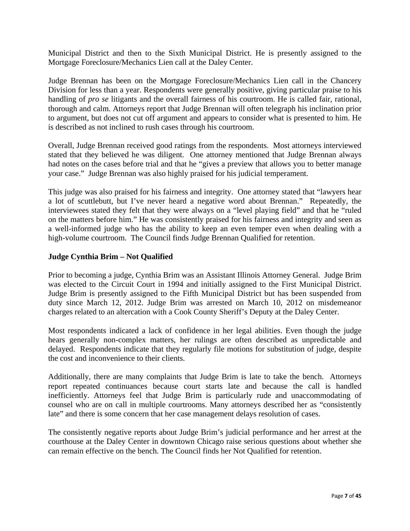Municipal District and then to the Sixth Municipal District. He is presently assigned to the Mortgage Foreclosure/Mechanics Lien call at the Daley Center.

Judge Brennan has been on the Mortgage Foreclosure/Mechanics Lien call in the Chancery Division for less than a year. Respondents were generally positive, giving particular praise to his handling of *pro se* litigants and the overall fairness of his courtroom. He is called fair, rational, thorough and calm. Attorneys report that Judge Brennan will often telegraph his inclination prior to argument, but does not cut off argument and appears to consider what is presented to him. He is described as not inclined to rush cases through his courtroom.

Overall, Judge Brennan received good ratings from the respondents. Most attorneys interviewed stated that they believed he was diligent. One attorney mentioned that Judge Brennan always had notes on the cases before trial and that he "gives a preview that allows you to better manage your case." Judge Brennan was also highly praised for his judicial temperament.

This judge was also praised for his fairness and integrity. One attorney stated that "lawyers hear a lot of scuttlebutt, but I've never heard a negative word about Brennan." Repeatedly, the interviewees stated they felt that they were always on a "level playing field" and that he "ruled on the matters before him." He was consistently praised for his fairness and integrity and seen as a well-informed judge who has the ability to keep an even temper even when dealing with a high-volume courtroom. The Council finds Judge Brennan Qualified for retention.

## **Judge Cynthia Brim – Not Qualified**

Prior to becoming a judge, Cynthia Brim was an Assistant Illinois Attorney General. Judge Brim was elected to the Circuit Court in 1994 and initially assigned to the First Municipal District. Judge Brim is presently assigned to the Fifth Municipal District but has been suspended from duty since March 12, 2012. Judge Brim was arrested on March 10, 2012 on misdemeanor charges related to an altercation with a Cook County Sheriff's Deputy at the Daley Center.

Most respondents indicated a lack of confidence in her legal abilities. Even though the judge hears generally non-complex matters, her rulings are often described as unpredictable and delayed. Respondents indicate that they regularly file motions for substitution of judge, despite the cost and inconvenience to their clients.

Additionally, there are many complaints that Judge Brim is late to take the bench. Attorneys report repeated continuances because court starts late and because the call is handled inefficiently. Attorneys feel that Judge Brim is particularly rude and unaccommodating of counsel who are on call in multiple courtrooms. Many attorneys described her as "consistently late" and there is some concern that her case management delays resolution of cases.

The consistently negative reports about Judge Brim's judicial performance and her arrest at the courthouse at the Daley Center in downtown Chicago raise serious questions about whether she can remain effective on the bench. The Council finds her Not Qualified for retention.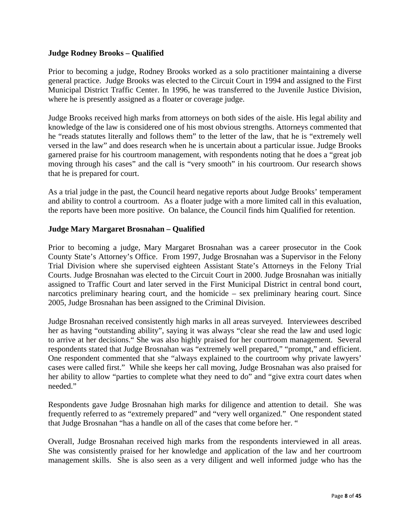## **Judge Rodney Brooks – Qualified**

Prior to becoming a judge, Rodney Brooks worked as a solo practitioner maintaining a diverse general practice. Judge Brooks was elected to the Circuit Court in 1994 and assigned to the First Municipal District Traffic Center. In 1996, he was transferred to the Juvenile Justice Division, where he is presently assigned as a floater or coverage judge.

Judge Brooks received high marks from attorneys on both sides of the aisle. His legal ability and knowledge of the law is considered one of his most obvious strengths. Attorneys commented that he "reads statutes literally and follows them" to the letter of the law, that he is "extremely well versed in the law" and does research when he is uncertain about a particular issue. Judge Brooks garnered praise for his courtroom management, with respondents noting that he does a "great job moving through his cases" and the call is "very smooth" in his courtroom. Our research shows that he is prepared for court.

As a trial judge in the past, the Council heard negative reports about Judge Brooks' temperament and ability to control a courtroom. As a floater judge with a more limited call in this evaluation, the reports have been more positive. On balance, the Council finds him Qualified for retention.

## **Judge Mary Margaret Brosnahan – Qualified**

Prior to becoming a judge, Mary Margaret Brosnahan was a career prosecutor in the Cook County State's Attorney's Office. From 1997, Judge Brosnahan was a Supervisor in the Felony Trial Division where she supervised eighteen Assistant State's Attorneys in the Felony Trial Courts. Judge Brosnahan was elected to the Circuit Court in 2000. Judge Brosnahan was initially assigned to Traffic Court and later served in the First Municipal District in central bond court, narcotics preliminary hearing court, and the homicide – sex preliminary hearing court. Since 2005, Judge Brosnahan has been assigned to the Criminal Division.

Judge Brosnahan received consistently high marks in all areas surveyed. Interviewees described her as having "outstanding ability", saying it was always "clear she read the law and used logic to arrive at her decisions." She was also highly praised for her courtroom management. Several respondents stated that Judge Brosnahan was "extremely well prepared," "prompt," and efficient. One respondent commented that she "always explained to the courtroom why private lawyers' cases were called first." While she keeps her call moving, Judge Brosnahan was also praised for her ability to allow "parties to complete what they need to do" and "give extra court dates when needed."

Respondents gave Judge Brosnahan high marks for diligence and attention to detail. She was frequently referred to as "extremely prepared" and "very well organized." One respondent stated that Judge Brosnahan "has a handle on all of the cases that come before her. "

Overall, Judge Brosnahan received high marks from the respondents interviewed in all areas. She was consistently praised for her knowledge and application of the law and her courtroom management skills. She is also seen as a very diligent and well informed judge who has the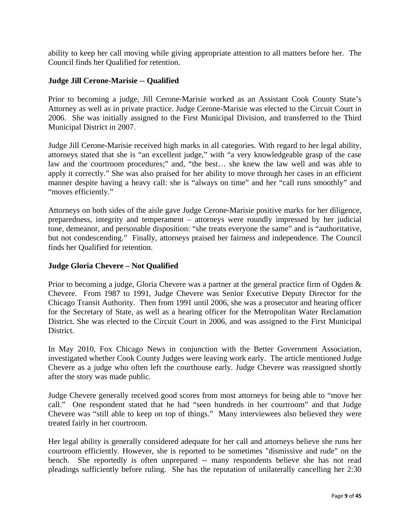ability to keep her call moving while giving appropriate attention to all matters before her. The Council finds her Qualified for retention.

## **Judge Jill Cerone-Marisie -- Qualified**

Prior to becoming a judge, Jill Cerone-Marisie worked as an Assistant Cook County State's Attorney as well as in private practice. Judge Cerone-Marisie was elected to the Circuit Court in 2006. She was initially assigned to the First Municipal Division, and transferred to the Third Municipal District in 2007.

Judge Jill Cerone-Marisie received high marks in all categories. With regard to her legal ability, attorneys stated that she is "an excellent judge," with "a very knowledgeable grasp of the case law and the courtroom procedures;" and, "the best… she knew the law well and was able to apply it correctly." She was also praised for her ability to move through her cases in an efficient manner despite having a heavy call: she is "always on time" and her "call runs smoothly" and "moves efficiently."

Attorneys on both sides of the aisle gave Judge Cerone-Marisie positive marks for her diligence, preparedness, integrity and temperament – attorneys were roundly impressed by her judicial tone, demeanor, and personable disposition: "she treats everyone the same" and is "authoritative, but not condescending." Finally, attorneys praised her fairness and independence. The Council finds her Qualified for retention.

## **Judge Gloria Chevere – Not Qualified**

Prior to becoming a judge, Gloria Chevere was a partner at the general practice firm of Ogden & Chevere. From 1987 to 1991, Judge Chevere was Senior Executive Deputy Director for the Chicago Transit Authority. Then from 1991 until 2006, she was a prosecutor and hearing officer for the Secretary of State, as well as a hearing officer for the Metropolitan Water Reclamation District. She was elected to the Circuit Court in 2006, and was assigned to the First Municipal District.

In May 2010, Fox Chicago News in conjunction with the Better Government Association, investigated whether Cook County Judges were leaving work early. The article mentioned Judge Chevere as a judge who often left the courthouse early. Judge Chevere was reassigned shortly after the story was made public.

Judge Chevere generally received good scores from most attorneys for being able to "move her call." One respondent stated that he had "seen hundreds in her courtroom" and that Judge Chevere was "still able to keep on top of things." Many interviewees also believed they were treated fairly in her courtroom.

Her legal ability is generally considered adequate for her call and attorneys believe she runs her courtroom efficiently. However, she is reported to be sometimes "dismissive and rude" on the bench. She reportedly is often unprepared -- many respondents believe she has not read pleadings sufficiently before ruling. She has the reputation of unilaterally cancelling her 2:30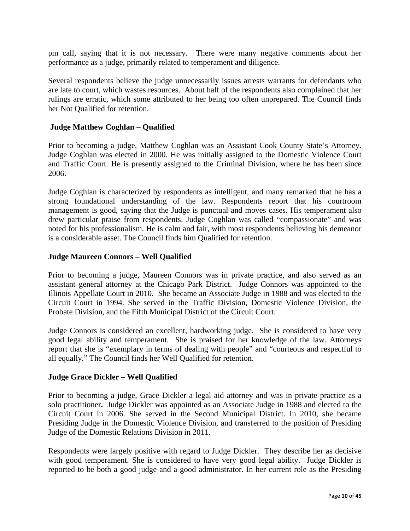pm call, saying that it is not necessary. There were many negative comments about her performance as a judge, primarily related to temperament and diligence.

Several respondents believe the judge unnecessarily issues arrests warrants for defendants who are late to court, which wastes resources. About half of the respondents also complained that her rulings are erratic, which some attributed to her being too often unprepared. The Council finds her Not Qualified for retention.

## **Judge Matthew Coghlan – Qualified**

Prior to becoming a judge, Matthew Coghlan was an Assistant Cook County State's Attorney. Judge Coghlan was elected in 2000. He was initially assigned to the Domestic Violence Court and Traffic Court. He is presently assigned to the Criminal Division, where he has been since 2006.

Judge Coghlan is characterized by respondents as intelligent, and many remarked that he has a strong foundational understanding of the law. Respondents report that his courtroom management is good, saying that the Judge is punctual and moves cases. His temperament also drew particular praise from respondents. Judge Coghlan was called "compassionate" and was noted for his professionalism. He is calm and fair, with most respondents believing his demeanor is a considerable asset. The Council finds him Qualified for retention.

## **Judge Maureen Connors – Well Qualified**

Prior to becoming a judge, Maureen Connors was in private practice, and also served as an assistant general attorney at the Chicago Park District. Judge Connors was appointed to the Illinois Appellate Court in 2010. She became an Associate Judge in 1988 and was elected to the Circuit Court in 1994. She served in the Traffic Division, Domestic Violence Division, the Probate Division, and the Fifth Municipal District of the Circuit Court.

Judge Connors is considered an excellent, hardworking judge. She is considered to have very good legal ability and temperament. She is praised for her knowledge of the law. Attorneys report that she is "exemplary in terms of dealing with people" and "courteous and respectful to all equally." The Council finds her Well Qualified for retention.

#### **Judge Grace Dickler – Well Qualified**

Prior to becoming a judge, Grace Dickler a legal aid attorney and was in private practice as a solo practitioner**.** Judge Dickler was appointed as an Associate Judge in 1988 and elected to the Circuit Court in 2006. She served in the Second Municipal District. In 2010, she became Presiding Judge in the Domestic Violence Division, and transferred to the position of Presiding Judge of the Domestic Relations Division in 2011.

Respondents were largely positive with regard to Judge Dickler. They describe her as decisive with good temperament. She is considered to have very good legal ability. Judge Dickler is reported to be both a good judge and a good administrator. In her current role as the Presiding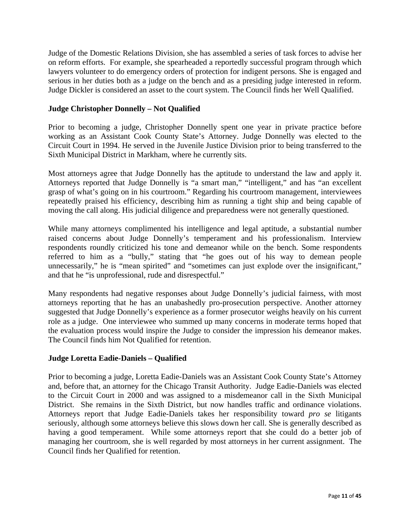Judge of the Domestic Relations Division, she has assembled a series of task forces to advise her on reform efforts. For example, she spearheaded a reportedly successful program through which lawyers volunteer to do emergency orders of protection for indigent persons. She is engaged and serious in her duties both as a judge on the bench and as a presiding judge interested in reform. Judge Dickler is considered an asset to the court system. The Council finds her Well Qualified.

## **Judge Christopher Donnelly – Not Qualified**

Prior to becoming a judge, Christopher Donnelly spent one year in private practice before working as an Assistant Cook County State's Attorney. Judge Donnelly was elected to the Circuit Court in 1994. He served in the Juvenile Justice Division prior to being transferred to the Sixth Municipal District in Markham, where he currently sits.

Most attorneys agree that Judge Donnelly has the aptitude to understand the law and apply it. Attorneys reported that Judge Donnelly is "a smart man," "intelligent," and has "an excellent grasp of what's going on in his courtroom." Regarding his courtroom management, interviewees repeatedly praised his efficiency, describing him as running a tight ship and being capable of moving the call along. His judicial diligence and preparedness were not generally questioned.

While many attorneys complimented his intelligence and legal aptitude, a substantial number raised concerns about Judge Donnelly's temperament and his professionalism. Interview respondents roundly criticized his tone and demeanor while on the bench. Some respondents referred to him as a "bully," stating that "he goes out of his way to demean people unnecessarily," he is "mean spirited" and "sometimes can just explode over the insignificant," and that he "is unprofessional, rude and disrespectful."

Many respondents had negative responses about Judge Donnelly's judicial fairness, with most attorneys reporting that he has an unabashedly pro-prosecution perspective. Another attorney suggested that Judge Donnelly's experience as a former prosecutor weighs heavily on his current role as a judge. One interviewee who summed up many concerns in moderate terms hoped that the evaluation process would inspire the Judge to consider the impression his demeanor makes. The Council finds him Not Qualified for retention.

#### **Judge Loretta Eadie-Daniels – Qualified**

Prior to becoming a judge, Loretta Eadie-Daniels was an Assistant Cook County State's Attorney and, before that, an attorney for the Chicago Transit Authority. Judge Eadie-Daniels was elected to the Circuit Court in 2000 and was assigned to a misdemeanor call in the Sixth Municipal District. She remains in the Sixth District, but now handles traffic and ordinance violations. Attorneys report that Judge Eadie-Daniels takes her responsibility toward *pro se* litigants seriously, although some attorneys believe this slows down her call. She is generally described as having a good temperament. While some attorneys report that she could do a better job of managing her courtroom, she is well regarded by most attorneys in her current assignment. The Council finds her Qualified for retention.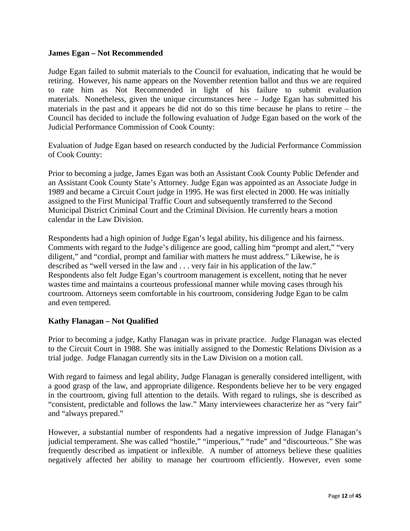## **James Egan – Not Recommended**

Judge Egan failed to submit materials to the Council for evaluation, indicating that he would be retiring. However, his name appears on the November retention ballot and thus we are required to rate him as Not Recommended in light of his failure to submit evaluation materials. Nonetheless, given the unique circumstances here – Judge Egan has submitted his materials in the past and it appears he did not do so this time because he plans to retire – the Council has decided to include the following evaluation of Judge Egan based on the work of the Judicial Performance Commission of Cook County:

Evaluation of Judge Egan based on research conducted by the Judicial Performance Commission of Cook County:

Prior to becoming a judge, James Egan was both an Assistant Cook County Public Defender and an Assistant Cook County State's Attorney. Judge Egan was appointed as an Associate Judge in 1989 and became a Circuit Court judge in 1995. He was first elected in 2000. He was initially assigned to the First Municipal Traffic Court and subsequently transferred to the Second Municipal District Criminal Court and the Criminal Division. He currently hears a motion calendar in the Law Division.

Respondents had a high opinion of Judge Egan's legal ability, his diligence and his fairness. Comments with regard to the Judge's diligence are good, calling him "prompt and alert," "very diligent," and "cordial, prompt and familiar with matters he must address." Likewise, he is described as "well versed in the law and . . . very fair in his application of the law." Respondents also felt Judge Egan's courtroom management is excellent, noting that he never wastes time and maintains a courteous professional manner while moving cases through his courtroom. Attorneys seem comfortable in his courtroom, considering Judge Egan to be calm and even tempered.

## **Kathy Flanagan – Not Qualified**

Prior to becoming a judge, Kathy Flanagan was in private practice. Judge Flanagan was elected to the Circuit Court in 1988. She was initially assigned to the Domestic Relations Division as a trial judge. Judge Flanagan currently sits in the Law Division on a motion call.

With regard to fairness and legal ability, Judge Flanagan is generally considered intelligent, with a good grasp of the law, and appropriate diligence. Respondents believe her to be very engaged in the courtroom, giving full attention to the details. With regard to rulings, she is described as "consistent, predictable and follows the law." Many interviewees characterize her as "very fair" and "always prepared."

However, a substantial number of respondents had a negative impression of Judge Flanagan's judicial temperament. She was called "hostile," "imperious," "rude" and "discourteous." She was frequently described as impatient or inflexible. A number of attorneys believe these qualities negatively affected her ability to manage her courtroom efficiently. However, even some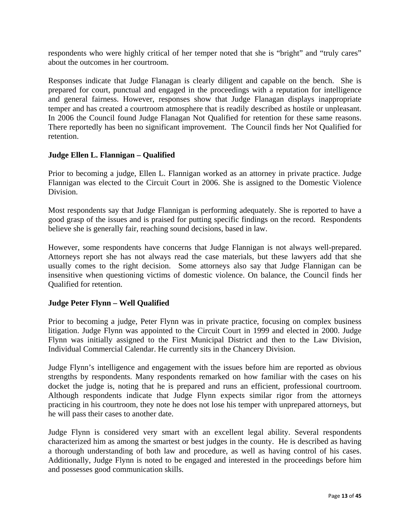respondents who were highly critical of her temper noted that she is "bright" and "truly cares" about the outcomes in her courtroom.

Responses indicate that Judge Flanagan is clearly diligent and capable on the bench. She is prepared for court, punctual and engaged in the proceedings with a reputation for intelligence and general fairness. However, responses show that Judge Flanagan displays inappropriate temper and has created a courtroom atmosphere that is readily described as hostile or unpleasant. In 2006 the Council found Judge Flanagan Not Qualified for retention for these same reasons. There reportedly has been no significant improvement. The Council finds her Not Qualified for retention.

## **Judge Ellen L. Flannigan – Qualified**

Prior to becoming a judge, Ellen L. Flannigan worked as an attorney in private practice. Judge Flannigan was elected to the Circuit Court in 2006. She is assigned to the Domestic Violence Division.

Most respondents say that Judge Flannigan is performing adequately. She is reported to have a good grasp of the issues and is praised for putting specific findings on the record. Respondents believe she is generally fair, reaching sound decisions, based in law.

However, some respondents have concerns that Judge Flannigan is not always well-prepared. Attorneys report she has not always read the case materials, but these lawyers add that she usually comes to the right decision. Some attorneys also say that Judge Flannigan can be insensitive when questioning victims of domestic violence. On balance, the Council finds her Qualified for retention.

## **Judge Peter Flynn – Well Qualified**

Prior to becoming a judge, Peter Flynn was in private practice, focusing on complex business litigation. Judge Flynn was appointed to the Circuit Court in 1999 and elected in 2000. Judge Flynn was initially assigned to the First Municipal District and then to the Law Division, Individual Commercial Calendar. He currently sits in the Chancery Division.

Judge Flynn's intelligence and engagement with the issues before him are reported as obvious strengths by respondents. Many respondents remarked on how familiar with the cases on his docket the judge is, noting that he is prepared and runs an efficient, professional courtroom. Although respondents indicate that Judge Flynn expects similar rigor from the attorneys practicing in his courtroom, they note he does not lose his temper with unprepared attorneys, but he will pass their cases to another date.

Judge Flynn is considered very smart with an excellent legal ability. Several respondents characterized him as among the smartest or best judges in the county. He is described as having a thorough understanding of both law and procedure, as well as having control of his cases. Additionally, Judge Flynn is noted to be engaged and interested in the proceedings before him and possesses good communication skills.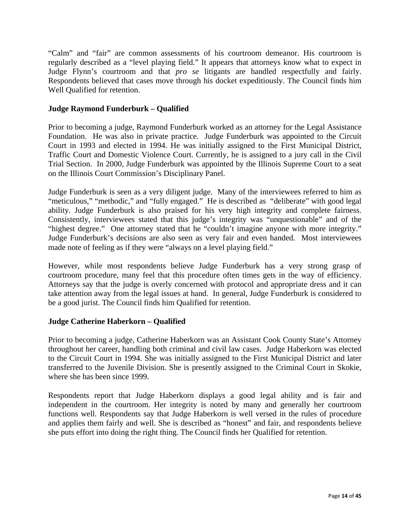"Calm" and "fair" are common assessments of his courtroom demeanor. His courtroom is regularly described as a "level playing field." It appears that attorneys know what to expect in Judge Flynn's courtroom and that *pro se* litigants are handled respectfully and fairly. Respondents believed that cases move through his docket expeditiously. The Council finds him Well Qualified for retention.

## **Judge Raymond Funderburk – Qualified**

Prior to becoming a judge, Raymond Funderburk worked as an attorney for the Legal Assistance Foundation. He was also in private practice. Judge Funderburk was appointed to the Circuit Court in 1993 and elected in 1994. He was initially assigned to the First Municipal District, Traffic Court and Domestic Violence Court. Currently, he is assigned to a jury call in the Civil Trial Section. In 2000, Judge Funderburk was appointed by the Illinois Supreme Court to a seat on the Illinois Court Commission's Disciplinary Panel.

Judge Funderburk is seen as a very diligent judge. Many of the interviewees referred to him as "meticulous," "methodic," and "fully engaged." He is described as "deliberate" with good legal ability. Judge Funderburk is also praised for his very high integrity and complete fairness. Consistently, interviewees stated that this judge's integrity was "unquestionable" and of the "highest degree." One attorney stated that he "couldn't imagine anyone with more integrity." Judge Funderburk's decisions are also seen as very fair and even handed. Most interviewees made note of feeling as if they were "always on a level playing field."

However, while most respondents believe Judge Funderburk has a very strong grasp of courtroom procedure, many feel that this procedure often times gets in the way of efficiency. Attorneys say that the judge is overly concerned with protocol and appropriate dress and it can take attention away from the legal issues at hand. In general, Judge Funderburk is considered to be a good jurist. The Council finds him Qualified for retention.

## **Judge Catherine Haberkorn – Qualified**

Prior to becoming a judge, Catherine Haberkorn was an Assistant Cook County State's Attorney throughout her career, handling both criminal and civil law cases. Judge Haberkorn was elected to the Circuit Court in 1994. She was initially assigned to the First Municipal District and later transferred to the Juvenile Division. She is presently assigned to the Criminal Court in Skokie, where she has been since 1999.

Respondents report that Judge Haberkorn displays a good legal ability and is fair and independent in the courtroom. Her integrity is noted by many and generally her courtroom functions well. Respondents say that Judge Haberkorn is well versed in the rules of procedure and applies them fairly and well. She is described as "honest" and fair, and respondents believe she puts effort into doing the right thing. The Council finds her Qualified for retention.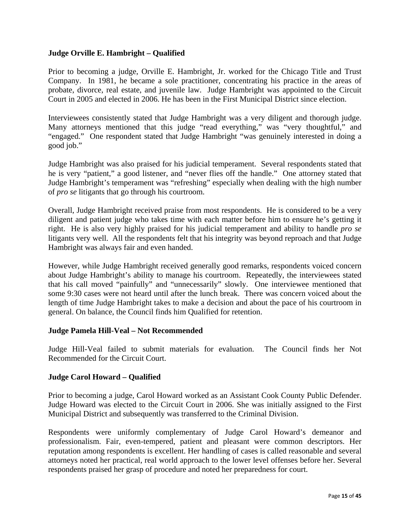## **Judge Orville E. Hambright – Qualified**

Prior to becoming a judge, Orville E. Hambright, Jr. worked for the Chicago Title and Trust Company. In 1981, he became a sole practitioner, concentrating his practice in the areas of probate, divorce, real estate, and juvenile law. Judge Hambright was appointed to the Circuit Court in 2005 and elected in 2006. He has been in the First Municipal District since election.

Interviewees consistently stated that Judge Hambright was a very diligent and thorough judge. Many attorneys mentioned that this judge "read everything," was "very thoughtful," and "engaged." One respondent stated that Judge Hambright "was genuinely interested in doing a good job."

Judge Hambright was also praised for his judicial temperament. Several respondents stated that he is very "patient," a good listener, and "never flies off the handle." One attorney stated that Judge Hambright's temperament was "refreshing" especially when dealing with the high number of *pro se* litigants that go through his courtroom.

Overall, Judge Hambright received praise from most respondents. He is considered to be a very diligent and patient judge who takes time with each matter before him to ensure he's getting it right. He is also very highly praised for his judicial temperament and ability to handle *pro se* litigants very well. All the respondents felt that his integrity was beyond reproach and that Judge Hambright was always fair and even handed.

However, while Judge Hambright received generally good remarks, respondents voiced concern about Judge Hambright's ability to manage his courtroom. Repeatedly, the interviewees stated that his call moved "painfully" and "unnecessarily" slowly. One interviewee mentioned that some 9:30 cases were not heard until after the lunch break. There was concern voiced about the length of time Judge Hambright takes to make a decision and about the pace of his courtroom in general. On balance, the Council finds him Qualified for retention.

## **Judge Pamela Hill-Veal – Not Recommended**

Judge Hill-Veal failed to submit materials for evaluation. The Council finds her Not Recommended for the Circuit Court.

## **Judge Carol Howard – Qualified**

Prior to becoming a judge, Carol Howard worked as an Assistant Cook County Public Defender. Judge Howard was elected to the Circuit Court in 2006. She was initially assigned to the First Municipal District and subsequently was transferred to the Criminal Division.

Respondents were uniformly complementary of Judge Carol Howard's demeanor and professionalism. Fair, even-tempered, patient and pleasant were common descriptors. Her reputation among respondents is excellent. Her handling of cases is called reasonable and several attorneys noted her practical, real world approach to the lower level offenses before her. Several respondents praised her grasp of procedure and noted her preparedness for court.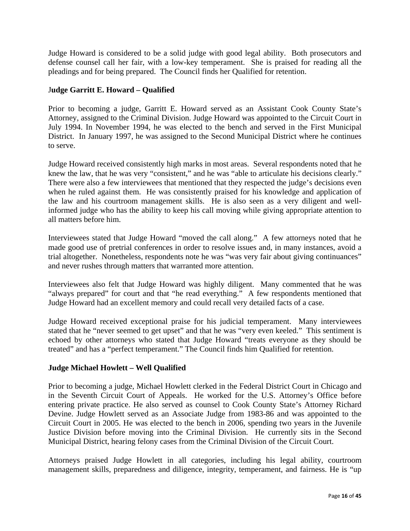Judge Howard is considered to be a solid judge with good legal ability. Both prosecutors and defense counsel call her fair, with a low-key temperament. She is praised for reading all the pleadings and for being prepared. The Council finds her Qualified for retention.

## J**udge Garritt E. Howard – Qualified**

Prior to becoming a judge, Garritt E. Howard served as an Assistant Cook County State's Attorney, assigned to the Criminal Division. Judge Howard was appointed to the Circuit Court in July 1994. In November 1994, he was elected to the bench and served in the First Municipal District. In January 1997, he was assigned to the Second Municipal District where he continues to serve.

Judge Howard received consistently high marks in most areas. Several respondents noted that he knew the law, that he was very "consistent," and he was "able to articulate his decisions clearly." There were also a few interviewees that mentioned that they respected the judge's decisions even when he ruled against them. He was consistently praised for his knowledge and application of the law and his courtroom management skills. He is also seen as a very diligent and wellinformed judge who has the ability to keep his call moving while giving appropriate attention to all matters before him.

Interviewees stated that Judge Howard "moved the call along." A few attorneys noted that he made good use of pretrial conferences in order to resolve issues and, in many instances, avoid a trial altogether. Nonetheless, respondents note he was "was very fair about giving continuances" and never rushes through matters that warranted more attention.

Interviewees also felt that Judge Howard was highly diligent. Many commented that he was "always prepared" for court and that "he read everything." A few respondents mentioned that Judge Howard had an excellent memory and could recall very detailed facts of a case.

Judge Howard received exceptional praise for his judicial temperament. Many interviewees stated that he "never seemed to get upset" and that he was "very even keeled." This sentiment is echoed by other attorneys who stated that Judge Howard "treats everyone as they should be treated" and has a "perfect temperament." The Council finds him Qualified for retention.

## **Judge Michael Howlett – Well Qualified**

Prior to becoming a judge, Michael Howlett clerked in the Federal District Court in Chicago and in the Seventh Circuit Court of Appeals. He worked for the U.S. Attorney's Office before entering private practice. He also served as counsel to Cook County State's Attorney Richard Devine. Judge Howlett served as an Associate Judge from 1983-86 and was appointed to the Circuit Court in 2005. He was elected to the bench in 2006, spending two years in the Juvenile Justice Division before moving into the Criminal Division. He currently sits in the Second Municipal District, hearing felony cases from the Criminal Division of the Circuit Court.

Attorneys praised Judge Howlett in all categories, including his legal ability, courtroom management skills, preparedness and diligence, integrity, temperament, and fairness. He is "up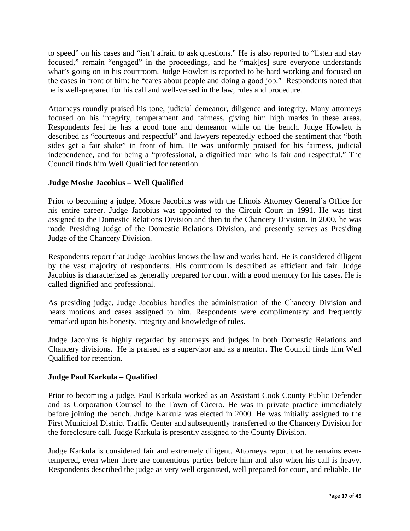to speed" on his cases and "isn't afraid to ask questions." He is also reported to "listen and stay focused," remain "engaged" in the proceedings, and he "mak[es] sure everyone understands what's going on in his courtroom. Judge Howlett is reported to be hard working and focused on the cases in front of him: he "cares about people and doing a good job." Respondents noted that he is well-prepared for his call and well-versed in the law, rules and procedure.

Attorneys roundly praised his tone, judicial demeanor, diligence and integrity. Many attorneys focused on his integrity, temperament and fairness, giving him high marks in these areas. Respondents feel he has a good tone and demeanor while on the bench. Judge Howlett is described as "courteous and respectful" and lawyers repeatedly echoed the sentiment that "both sides get a fair shake" in front of him. He was uniformly praised for his fairness, judicial independence, and for being a "professional, a dignified man who is fair and respectful." The Council finds him Well Qualified for retention.

## **Judge Moshe Jacobius – Well Qualified**

Prior to becoming a judge, Moshe Jacobius was with the Illinois Attorney General's Office for his entire career. Judge Jacobius was appointed to the Circuit Court in 1991. He was first assigned to the Domestic Relations Division and then to the Chancery Division. In 2000, he was made Presiding Judge of the Domestic Relations Division, and presently serves as Presiding Judge of the Chancery Division.

Respondents report that Judge Jacobius knows the law and works hard. He is considered diligent by the vast majority of respondents. His courtroom is described as efficient and fair. Judge Jacobius is characterized as generally prepared for court with a good memory for his cases. He is called dignified and professional.

As presiding judge, Judge Jacobius handles the administration of the Chancery Division and hears motions and cases assigned to him. Respondents were complimentary and frequently remarked upon his honesty, integrity and knowledge of rules.

Judge Jacobius is highly regarded by attorneys and judges in both Domestic Relations and Chancery divisions. He is praised as a supervisor and as a mentor. The Council finds him Well Qualified for retention.

## **Judge Paul Karkula – Qualified**

Prior to becoming a judge, Paul Karkula worked as an Assistant Cook County Public Defender and as Corporation Counsel to the Town of Cicero. He was in private practice immediately before joining the bench. Judge Karkula was elected in 2000. He was initially assigned to the First Municipal District Traffic Center and subsequently transferred to the Chancery Division for the foreclosure call. Judge Karkula is presently assigned to the County Division.

Judge Karkula is considered fair and extremely diligent. Attorneys report that he remains eventempered, even when there are contentious parties before him and also when his call is heavy. Respondents described the judge as very well organized, well prepared for court, and reliable. He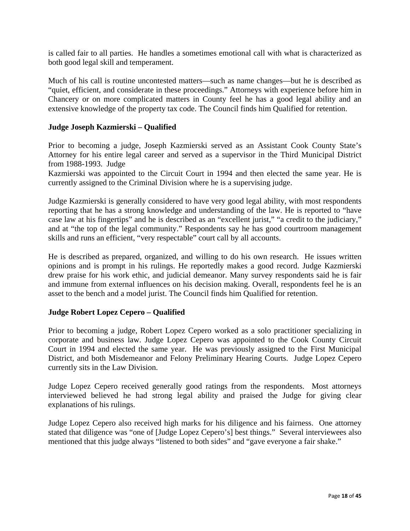is called fair to all parties. He handles a sometimes emotional call with what is characterized as both good legal skill and temperament.

Much of his call is routine uncontested matters—such as name changes—but he is described as "quiet, efficient, and considerate in these proceedings." Attorneys with experience before him in Chancery or on more complicated matters in County feel he has a good legal ability and an extensive knowledge of the property tax code. The Council finds him Qualified for retention.

## **Judge Joseph Kazmierski – Qualified**

Prior to becoming a judge, Joseph Kazmierski served as an Assistant Cook County State's Attorney for his entire legal career and served as a supervisor in the Third Municipal District from 1988-1993. Judge

Kazmierski was appointed to the Circuit Court in 1994 and then elected the same year. He is currently assigned to the Criminal Division where he is a supervising judge.

Judge Kazmierski is generally considered to have very good legal ability, with most respondents reporting that he has a strong knowledge and understanding of the law. He is reported to "have case law at his fingertips" and he is described as an "excellent jurist," "a credit to the judiciary," and at "the top of the legal community." Respondents say he has good courtroom management skills and runs an efficient, "very respectable" court call by all accounts.

He is described as prepared, organized, and willing to do his own research. He issues written opinions and is prompt in his rulings. He reportedly makes a good record. Judge Kazmierski drew praise for his work ethic, and judicial demeanor. Many survey respondents said he is fair and immune from external influences on his decision making. Overall, respondents feel he is an asset to the bench and a model jurist. The Council finds him Qualified for retention.

## **Judge Robert Lopez Cepero – Qualified**

Prior to becoming a judge, Robert Lopez Cepero worked as a solo practitioner specializing in corporate and business law. Judge Lopez Cepero was appointed to the Cook County Circuit Court in 1994 and elected the same year. He was previously assigned to the First Municipal District, and both Misdemeanor and Felony Preliminary Hearing Courts. Judge Lopez Cepero currently sits in the Law Division.

Judge Lopez Cepero received generally good ratings from the respondents. Most attorneys interviewed believed he had strong legal ability and praised the Judge for giving clear explanations of his rulings.

Judge Lopez Cepero also received high marks for his diligence and his fairness. One attorney stated that diligence was "one of [Judge Lopez Cepero's] best things." Several interviewees also mentioned that this judge always "listened to both sides" and "gave everyone a fair shake."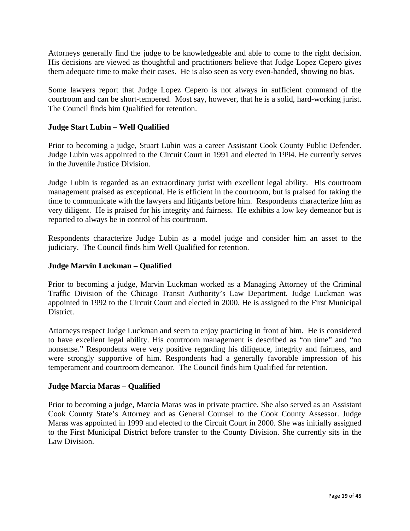Attorneys generally find the judge to be knowledgeable and able to come to the right decision. His decisions are viewed as thoughtful and practitioners believe that Judge Lopez Cepero gives them adequate time to make their cases. He is also seen as very even-handed, showing no bias.

Some lawyers report that Judge Lopez Cepero is not always in sufficient command of the courtroom and can be short-tempered. Most say, however, that he is a solid, hard-working jurist. The Council finds him Qualified for retention.

## **Judge Start Lubin – Well Qualified**

Prior to becoming a judge, Stuart Lubin was a career Assistant Cook County Public Defender. Judge Lubin was appointed to the Circuit Court in 1991 and elected in 1994. He currently serves in the Juvenile Justice Division.

Judge Lubin is regarded as an extraordinary jurist with excellent legal ability. His courtroom management praised as exceptional. He is efficient in the courtroom, but is praised for taking the time to communicate with the lawyers and litigants before him. Respondents characterize him as very diligent. He is praised for his integrity and fairness. He exhibits a low key demeanor but is reported to always be in control of his courtroom.

Respondents characterize Judge Lubin as a model judge and consider him an asset to the judiciary. The Council finds him Well Qualified for retention.

## **Judge Marvin Luckman – Qualified**

Prior to becoming a judge, Marvin Luckman worked as a Managing Attorney of the Criminal Traffic Division of the Chicago Transit Authority's Law Department. Judge Luckman was appointed in 1992 to the Circuit Court and elected in 2000. He is assigned to the First Municipal **District** 

Attorneys respect Judge Luckman and seem to enjoy practicing in front of him. He is considered to have excellent legal ability. His courtroom management is described as "on time" and "no nonsense." Respondents were very positive regarding his diligence, integrity and fairness, and were strongly supportive of him. Respondents had a generally favorable impression of his temperament and courtroom demeanor. The Council finds him Qualified for retention.

## **Judge Marcia Maras – Qualified**

Prior to becoming a judge, Marcia Maras was in private practice. She also served as an Assistant Cook County State's Attorney and as General Counsel to the Cook County Assessor. Judge Maras was appointed in 1999 and elected to the Circuit Court in 2000. She was initially assigned to the First Municipal District before transfer to the County Division. She currently sits in the Law Division.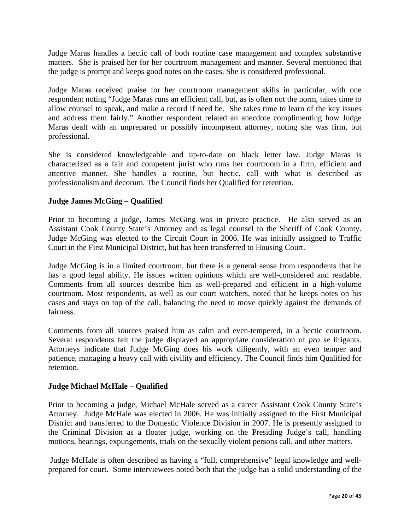Judge Maras handles a hectic call of both routine case management and complex substantive matters. She is praised her for her courtroom management and manner. Several mentioned that the judge is prompt and keeps good notes on the cases. She is considered professional.

Judge Maras received praise for her courtroom management skills in particular, with one respondent noting "Judge Maras runs an efficient call, but, as is often not the norm, takes time to allow counsel to speak, and make a record if need be. She takes time to learn of the key issues and address them fairly." Another respondent related an anecdote complimenting how Judge Maras dealt with an unprepared or possibly incompetent attorney, noting she was firm, but professional.

She is considered knowledgeable and up-to-date on black letter law. Judge Maras is characterized as a fair and competent jurist who runs her courtroom in a firm, efficient and attentive manner. She handles a routine, but hectic, call with what is described as professionalism and decorum. The Council finds her Qualified for retention.

## **Judge James McGing – Qualified**

Prior to becoming a judge, James McGing was in private practice. He also served as an Assistant Cook County State's Attorney and as legal counsel to the Sheriff of Cook County. Judge McGing was elected to the Circuit Court in 2006. He was initially assigned to Traffic Court in the First Municipal District, but has been transferred to Housing Court.

Judge McGing is in a limited courtroom, but there is a general sense from respondents that he has a good legal ability. He issues written opinions which are well-considered and readable. Comments from all sources describe him as well-prepared and efficient in a high-volume courtroom. Most respondents, as well as our court watchers, noted that he keeps notes on his cases and stays on top of the call, balancing the need to move quickly against the demands of fairness.

Comments from all sources praised him as calm and even-tempered, in a hectic courtroom. Several respondents felt the judge displayed an appropriate consideration of *pro se* litigants. Attorneys indicate that Judge McGing does his work diligently, with an even temper and patience, managing a heavy call with civility and efficiency. The Council finds him Qualified for retention.

## **Judge Michael McHale – Qualified**

Prior to becoming a judge, Michael McHale served as a career Assistant Cook County State's Attorney.Judge McHale was elected in 2006. He was initially assigned to the First Municipal District and transferred to the Domestic Violence Division in 2007. He is presently assigned to the Criminal Division as a floater judge, working on the Presiding Judge's call, handling motions, hearings, expungements, trials on the sexually violent persons call, and other matters.

 Judge McHale is often described as having a "full, comprehensive" legal knowledge and wellprepared for court. Some interviewees noted both that the judge has a solid understanding of the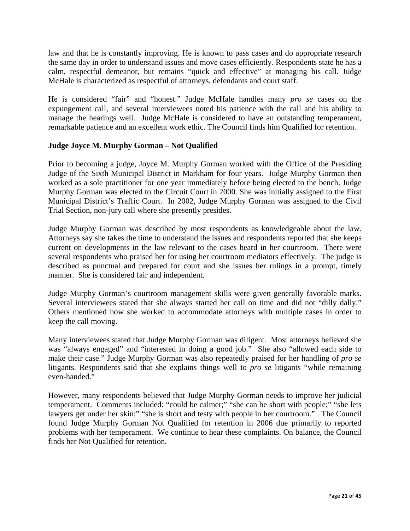law and that he is constantly improving. He is known to pass cases and do appropriate research the same day in order to understand issues and move cases efficiently. Respondents state he has a calm, respectful demeanor, but remains "quick and effective" at managing his call. Judge McHale is characterized as respectful of attorneys, defendants and court staff.

He is considered "fair" and "honest." Judge McHale handles many *pro se* cases on the expungement call, and several interviewees noted his patience with the call and his ability to manage the hearings well. Judge McHale is considered to have an outstanding temperament, remarkable patience and an excellent work ethic. The Council finds him Qualified for retention.

## **Judge Joyce M. Murphy Gorman – Not Qualified**

Prior to becoming a judge, Joyce M. Murphy Gorman worked with the Office of the Presiding Judge of the Sixth Municipal District in Markham for four years. Judge Murphy Gorman then worked as a sole practitioner for one year immediately before being elected to the bench. Judge Murphy Gorman was elected to the Circuit Court in 2000. She was initially assigned to the First Municipal District's Traffic Court. In 2002, Judge Murphy Gorman was assigned to the Civil Trial Section, non-jury call where she presently presides.

Judge Murphy Gorman was described by most respondents as knowledgeable about the law. Attorneys say she takes the time to understand the issues and respondents reported that she keeps current on developments in the law relevant to the cases heard in her courtroom. There were several respondents who praised her for using her courtroom mediators effectively. The judge is described as punctual and prepared for court and she issues her rulings in a prompt, timely manner. She is considered fair and independent.

Judge Murphy Gorman's courtroom management skills were given generally favorable marks. Several interviewees stated that she always started her call on time and did not "dilly dally." Others mentioned how she worked to accommodate attorneys with multiple cases in order to keep the call moving.

Many interviewees stated that Judge Murphy Gorman was diligent. Most attorneys believed she was "always engaged" and "interested in doing a good job." She also "allowed each side to make their case." Judge Murphy Gorman was also repeatedly praised for her handling of *pro se* litigants. Respondents said that she explains things well to *pro se* litigants "while remaining even-handed."

However, many respondents believed that Judge Murphy Gorman needs to improve her judicial temperament. Comments included: "could be calmer;" "she can be short with people;" "she lets lawyers get under her skin;" "she is short and testy with people in her courtroom." The Council found Judge Murphy Gorman Not Qualified for retention in 2006 due primarily to reported problems with her temperament. We continue to hear these complaints. On balance, the Council finds her Not Qualified for retention.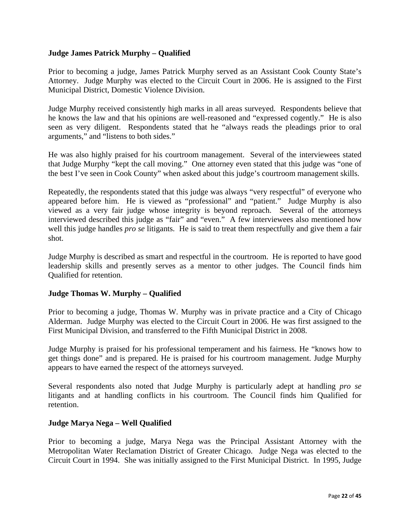## **Judge James Patrick Murphy – Qualified**

Prior to becoming a judge, James Patrick Murphy served as an Assistant Cook County State's Attorney. Judge Murphy was elected to the Circuit Court in 2006. He is assigned to the First Municipal District, Domestic Violence Division.

Judge Murphy received consistently high marks in all areas surveyed. Respondents believe that he knows the law and that his opinions are well-reasoned and "expressed cogently." He is also seen as very diligent. Respondents stated that he "always reads the pleadings prior to oral arguments," and "listens to both sides."

He was also highly praised for his courtroom management. Several of the interviewees stated that Judge Murphy "kept the call moving." One attorney even stated that this judge was "one of the best I've seen in Cook County" when asked about this judge's courtroom management skills.

Repeatedly, the respondents stated that this judge was always "very respectful" of everyone who appeared before him. He is viewed as "professional" and "patient." Judge Murphy is also viewed as a very fair judge whose integrity is beyond reproach. Several of the attorneys interviewed described this judge as "fair" and "even." A few interviewees also mentioned how well this judge handles *pro se* litigants. He is said to treat them respectfully and give them a fair shot.

Judge Murphy is described as smart and respectful in the courtroom. He is reported to have good leadership skills and presently serves as a mentor to other judges. The Council finds him Qualified for retention.

## **Judge Thomas W. Murphy – Qualified**

Prior to becoming a judge, Thomas W. Murphy was in private practice and a City of Chicago Alderman. Judge Murphy was elected to the Circuit Court in 2006. He was first assigned to the First Municipal Division, and transferred to the Fifth Municipal District in 2008.

Judge Murphy is praised for his professional temperament and his fairness. He "knows how to get things done" and is prepared. He is praised for his courtroom management. Judge Murphy appears to have earned the respect of the attorneys surveyed.

Several respondents also noted that Judge Murphy is particularly adept at handling *pro se* litigants and at handling conflicts in his courtroom. The Council finds him Qualified for retention.

#### **Judge Marya Nega – Well Qualified**

Prior to becoming a judge, Marya Nega was the Principal Assistant Attorney with the Metropolitan Water Reclamation District of Greater Chicago. Judge Nega was elected to the Circuit Court in 1994. She was initially assigned to the First Municipal District. In 1995, Judge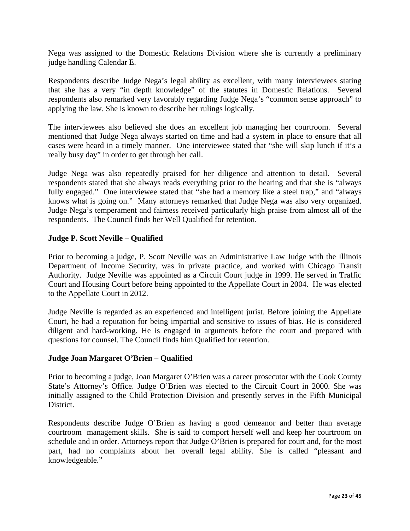Nega was assigned to the Domestic Relations Division where she is currently a preliminary judge handling Calendar E.

Respondents describe Judge Nega's legal ability as excellent, with many interviewees stating that she has a very "in depth knowledge" of the statutes in Domestic Relations. Several respondents also remarked very favorably regarding Judge Nega's "common sense approach" to applying the law. She is known to describe her rulings logically.

The interviewees also believed she does an excellent job managing her courtroom. Several mentioned that Judge Nega always started on time and had a system in place to ensure that all cases were heard in a timely manner. One interviewee stated that "she will skip lunch if it's a really busy day" in order to get through her call.

Judge Nega was also repeatedly praised for her diligence and attention to detail. Several respondents stated that she always reads everything prior to the hearing and that she is "always fully engaged." One interviewee stated that "she had a memory like a steel trap," and "always" knows what is going on." Many attorneys remarked that Judge Nega was also very organized. Judge Nega's temperament and fairness received particularly high praise from almost all of the respondents. The Council finds her Well Qualified for retention.

## **Judge P. Scott Neville – Qualified**

Prior to becoming a judge, P. Scott Neville was an Administrative Law Judge with the Illinois Department of Income Security, was in private practice, and worked with Chicago Transit Authority. Judge Neville was appointed as a Circuit Court judge in 1999. He served in Traffic Court and Housing Court before being appointed to the Appellate Court in 2004. He was elected to the Appellate Court in 2012.

Judge Neville is regarded as an experienced and intelligent jurist. Before joining the Appellate Court, he had a reputation for being impartial and sensitive to issues of bias. He is considered diligent and hard-working. He is engaged in arguments before the court and prepared with questions for counsel. The Council finds him Qualified for retention.

#### **Judge Joan Margaret O'Brien – Qualified**

Prior to becoming a judge, Joan Margaret O'Brien was a career prosecutor with the Cook County State's Attorney's Office. Judge O'Brien was elected to the Circuit Court in 2000. She was initially assigned to the Child Protection Division and presently serves in the Fifth Municipal District.

Respondents describe Judge O'Brien as having a good demeanor and better than average courtroom management skills. She is said to comport herself well and keep her courtroom on schedule and in order. Attorneys report that Judge O'Brien is prepared for court and, for the most part, had no complaints about her overall legal ability. She is called "pleasant and knowledgeable."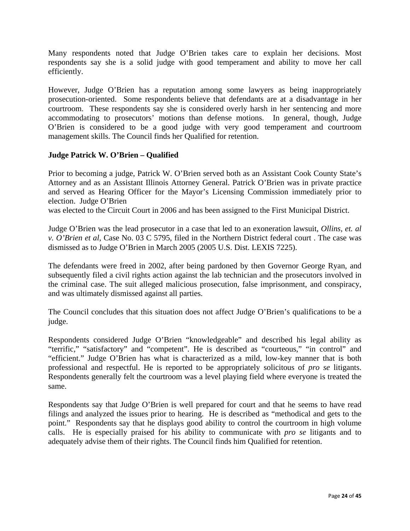Many respondents noted that Judge O'Brien takes care to explain her decisions. Most respondents say she is a solid judge with good temperament and ability to move her call efficiently.

However, Judge O'Brien has a reputation among some lawyers as being inappropriately prosecution-oriented. Some respondents believe that defendants are at a disadvantage in her courtroom. These respondents say she is considered overly harsh in her sentencing and more accommodating to prosecutors' motions than defense motions. In general, though, Judge O'Brien is considered to be a good judge with very good temperament and courtroom management skills. The Council finds her Qualified for retention.

## **Judge Patrick W. O'Brien – Qualified**

Prior to becoming a judge, Patrick W. O'Brien served both as an Assistant Cook County State's Attorney and as an Assistant Illinois Attorney General. Patrick O'Brien was in private practice and served as Hearing Officer for the Mayor's Licensing Commission immediately prior to election. Judge O'Brien

was elected to the Circuit Court in 2006 and has been assigned to the First Municipal District.

Judge O'Brien was the lead prosecutor in a case that led to an exoneration lawsuit, *Ollins, et. al v. O'Brien et al*, Case No. 03 C 5795, filed in the Northern District federal court . The case was dismissed as to Judge O'Brien in March 2005 (2005 U.S. Dist. LEXIS 7225).

The defendants were freed in 2002, after being pardoned by then Governor George Ryan, and subsequently filed a civil rights action against the lab technician and the prosecutors involved in the criminal case. The suit alleged malicious prosecution, false imprisonment, and conspiracy, and was ultimately dismissed against all parties.

The Council concludes that this situation does not affect Judge O'Brien's qualifications to be a judge.

Respondents considered Judge O'Brien "knowledgeable" and described his legal ability as "terrific," "satisfactory" and "competent". He is described as "courteous," "in control" and "efficient." Judge O'Brien has what is characterized as a mild, low-key manner that is both professional and respectful. He is reported to be appropriately solicitous of *pro se* litigants. Respondents generally felt the courtroom was a level playing field where everyone is treated the same.

Respondents say that Judge O'Brien is well prepared for court and that he seems to have read filings and analyzed the issues prior to hearing. He is described as "methodical and gets to the point." Respondents say that he displays good ability to control the courtroom in high volume calls. He is especially praised for his ability to communicate with *pro se* litigants and to adequately advise them of their rights. The Council finds him Qualified for retention.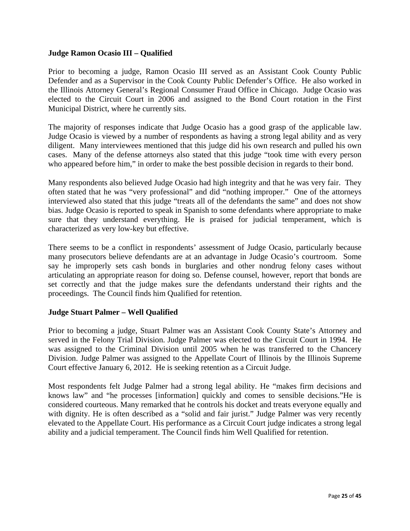## **Judge Ramon Ocasio III – Qualified**

Prior to becoming a judge, Ramon Ocasio III served as an Assistant Cook County Public Defender and as a Supervisor in the Cook County Public Defender's Office. He also worked in the Illinois Attorney General's Regional Consumer Fraud Office in Chicago. Judge Ocasio was elected to the Circuit Court in 2006 and assigned to the Bond Court rotation in the First Municipal District, where he currently sits.

The majority of responses indicate that Judge Ocasio has a good grasp of the applicable law. Judge Ocasio is viewed by a number of respondents as having a strong legal ability and as very diligent. Many interviewees mentioned that this judge did his own research and pulled his own cases. Many of the defense attorneys also stated that this judge "took time with every person who appeared before him," in order to make the best possible decision in regards to their bond.

Many respondents also believed Judge Ocasio had high integrity and that he was very fair. They often stated that he was "very professional" and did "nothing improper." One of the attorneys interviewed also stated that this judge "treats all of the defendants the same" and does not show bias. Judge Ocasio is reported to speak in Spanish to some defendants where appropriate to make sure that they understand everything. He is praised for judicial temperament, which is characterized as very low-key but effective.

There seems to be a conflict in respondents' assessment of Judge Ocasio, particularly because many prosecutors believe defendants are at an advantage in Judge Ocasio's courtroom. Some say he improperly sets cash bonds in burglaries and other nondrug felony cases without articulating an appropriate reason for doing so. Defense counsel, however, report that bonds are set correctly and that the judge makes sure the defendants understand their rights and the proceedings. The Council finds him Qualified for retention.

## **Judge Stuart Palmer – Well Qualified**

Prior to becoming a judge, Stuart Palmer was an Assistant Cook County State's Attorney and served in the Felony Trial Division. Judge Palmer was elected to the Circuit Court in 1994. He was assigned to the Criminal Division until 2005 when he was transferred to the Chancery Division. Judge Palmer was assigned to the Appellate Court of Illinois by the Illinois Supreme Court effective January 6, 2012. He is seeking retention as a Circuit Judge.

Most respondents felt Judge Palmer had a strong legal ability. He "makes firm decisions and knows law" and "he processes [information] quickly and comes to sensible decisions."He is considered courteous. Many remarked that he controls his docket and treats everyone equally and with dignity. He is often described as a "solid and fair jurist." Judge Palmer was very recently elevated to the Appellate Court. His performance as a Circuit Court judge indicates a strong legal ability and a judicial temperament. The Council finds him Well Qualified for retention.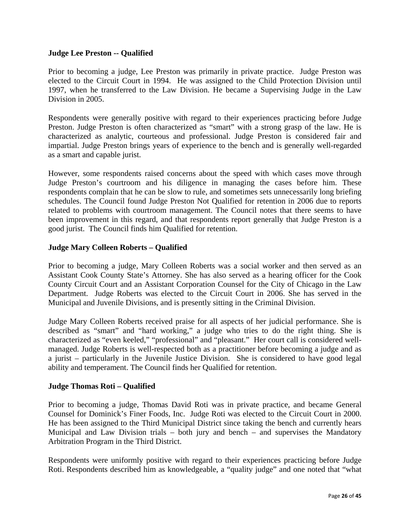## **Judge Lee Preston -- Qualified**

Prior to becoming a judge, Lee Preston was primarily in private practice.Judge Preston was elected to the Circuit Court in 1994. He was assigned to the Child Protection Division until 1997, when he transferred to the Law Division. He became a Supervising Judge in the Law Division in 2005.

Respondents were generally positive with regard to their experiences practicing before Judge Preston. Judge Preston is often characterized as "smart" with a strong grasp of the law. He is characterized as analytic, courteous and professional. Judge Preston is considered fair and impartial. Judge Preston brings years of experience to the bench and is generally well-regarded as a smart and capable jurist.

However, some respondents raised concerns about the speed with which cases move through Judge Preston's courtroom and his diligence in managing the cases before him. These respondents complain that he can be slow to rule, and sometimes sets unnecessarily long briefing schedules. The Council found Judge Preston Not Qualified for retention in 2006 due to reports related to problems with courtroom management. The Council notes that there seems to have been improvement in this regard, and that respondents report generally that Judge Preston is a good jurist. The Council finds him Qualified for retention.

## **Judge Mary Colleen Roberts – Qualified**

Prior to becoming a judge, Mary Colleen Roberts was a social worker and then served as an Assistant Cook County State's Attorney. She has also served as a hearing officer for the Cook County Circuit Court and an Assistant Corporation Counsel for the City of Chicago in the Law Department. Judge Roberts was elected to the Circuit Court in 2006. She has served in the Municipal and Juvenile Divisions, and is presently sitting in the Criminal Division.

Judge Mary Colleen Roberts received praise for all aspects of her judicial performance. She is described as "smart" and "hard working," a judge who tries to do the right thing. She is characterized as "even keeled," "professional" and "pleasant." Her court call is considered wellmanaged. Judge Roberts is well-respected both as a practitioner before becoming a judge and as a jurist – particularly in the Juvenile Justice Division. She is considered to have good legal ability and temperament. The Council finds her Qualified for retention.

## **Judge Thomas Roti – Qualified**

Prior to becoming a judge, Thomas David Roti was in private practice, and became General Counsel for Dominick's Finer Foods, Inc. Judge Roti was elected to the Circuit Court in 2000. He has been assigned to the Third Municipal District since taking the bench and currently hears Municipal and Law Division trials – both jury and bench – and supervises the Mandatory Arbitration Program in the Third District.

Respondents were uniformly positive with regard to their experiences practicing before Judge Roti. Respondents described him as knowledgeable, a "quality judge" and one noted that "what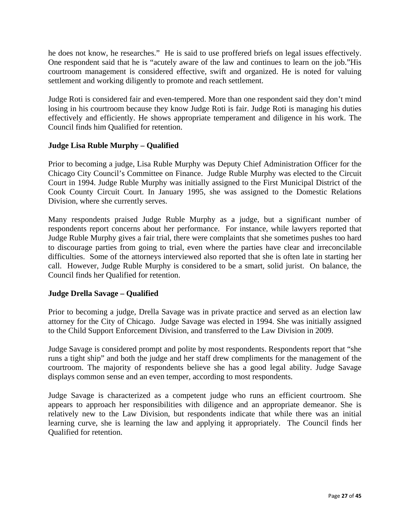he does not know, he researches." He is said to use proffered briefs on legal issues effectively. One respondent said that he is "acutely aware of the law and continues to learn on the job."His courtroom management is considered effective, swift and organized. He is noted for valuing settlement and working diligently to promote and reach settlement.

Judge Roti is considered fair and even-tempered. More than one respondent said they don't mind losing in his courtroom because they know Judge Roti is fair. Judge Roti is managing his duties effectively and efficiently. He shows appropriate temperament and diligence in his work. The Council finds him Qualified for retention.

## **Judge Lisa Ruble Murphy – Qualified**

Prior to becoming a judge, Lisa Ruble Murphy was Deputy Chief Administration Officer for the Chicago City Council's Committee on Finance. Judge Ruble Murphy was elected to the Circuit Court in 1994. Judge Ruble Murphy was initially assigned to the First Municipal District of the Cook County Circuit Court. In January 1995, she was assigned to the Domestic Relations Division, where she currently serves.

Many respondents praised Judge Ruble Murphy as a judge, but a significant number of respondents report concerns about her performance. For instance, while lawyers reported that Judge Ruble Murphy gives a fair trial, there were complaints that she sometimes pushes too hard to discourage parties from going to trial, even where the parties have clear and irreconcilable difficulties. Some of the attorneys interviewed also reported that she is often late in starting her call. However, Judge Ruble Murphy is considered to be a smart, solid jurist. On balance, the Council finds her Qualified for retention.

## **Judge Drella Savage – Qualified**

Prior to becoming a judge, Drella Savage was in private practice and served as an election law attorney for the City of Chicago. Judge Savage was elected in 1994. She was initially assigned to the Child Support Enforcement Division, and transferred to the Law Division in 2009.

Judge Savage is considered prompt and polite by most respondents. Respondents report that "she runs a tight ship" and both the judge and her staff drew compliments for the management of the courtroom. The majority of respondents believe she has a good legal ability. Judge Savage displays common sense and an even temper, according to most respondents.

Judge Savage is characterized as a competent judge who runs an efficient courtroom. She appears to approach her responsibilities with diligence and an appropriate demeanor. She is relatively new to the Law Division, but respondents indicate that while there was an initial learning curve, she is learning the law and applying it appropriately. The Council finds her Qualified for retention.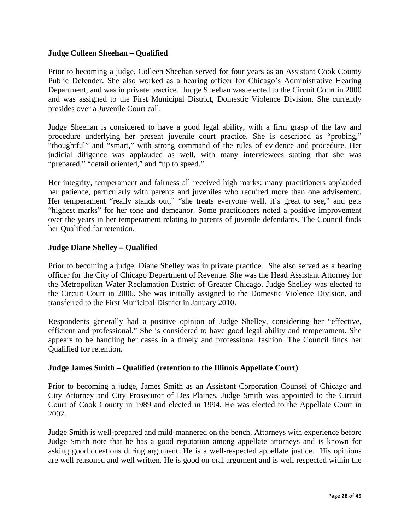## **Judge Colleen Sheehan – Qualified**

Prior to becoming a judge, Colleen Sheehan served for four years as an Assistant Cook County Public Defender. She also worked as a hearing officer for Chicago's Administrative Hearing Department, and was in private practice. Judge Sheehan was elected to the Circuit Court in 2000 and was assigned to the First Municipal District, Domestic Violence Division. She currently presides over a Juvenile Court call.

Judge Sheehan is considered to have a good legal ability, with a firm grasp of the law and procedure underlying her present juvenile court practice. She is described as "probing," "thoughtful" and "smart," with strong command of the rules of evidence and procedure. Her judicial diligence was applauded as well, with many interviewees stating that she was "prepared," "detail oriented," and "up to speed."

Her integrity, temperament and fairness all received high marks; many practitioners applauded her patience, particularly with parents and juveniles who required more than one advisement. Her temperament "really stands out," "she treats everyone well, it's great to see," and gets "highest marks" for her tone and demeanor. Some practitioners noted a positive improvement over the years in her temperament relating to parents of juvenile defendants. The Council finds her Qualified for retention.

## **Judge Diane Shelley – Qualified**

Prior to becoming a judge, Diane Shelley was in private practice. She also served as a hearing officer for the City of Chicago Department of Revenue. She was the Head Assistant Attorney for the Metropolitan Water Reclamation District of Greater Chicago. Judge Shelley was elected to the Circuit Court in 2006. She was initially assigned to the Domestic Violence Division, and transferred to the First Municipal District in January 2010.

Respondents generally had a positive opinion of Judge Shelley, considering her "effective, efficient and professional." She is considered to have good legal ability and temperament. She appears to be handling her cases in a timely and professional fashion. The Council finds her Qualified for retention.

## **Judge James Smith – Qualified (retention to the Illinois Appellate Court)**

Prior to becoming a judge, James Smith as an Assistant Corporation Counsel of Chicago and City Attorney and City Prosecutor of Des Plaines. Judge Smith was appointed to the Circuit Court of Cook County in 1989 and elected in 1994. He was elected to the Appellate Court in 2002.

Judge Smith is well-prepared and mild-mannered on the bench. Attorneys with experience before Judge Smith note that he has a good reputation among appellate attorneys and is known for asking good questions during argument. He is a well-respected appellate justice. His opinions are well reasoned and well written. He is good on oral argument and is well respected within the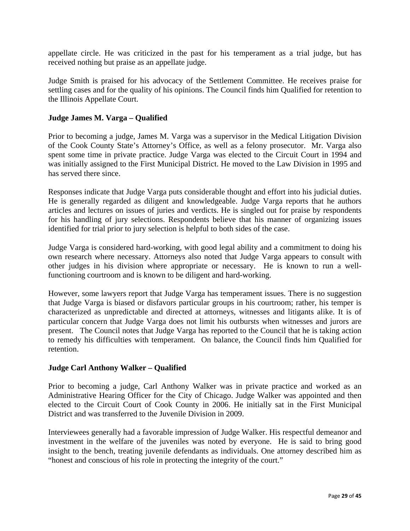appellate circle. He was criticized in the past for his temperament as a trial judge, but has received nothing but praise as an appellate judge.

Judge Smith is praised for his advocacy of the Settlement Committee. He receives praise for settling cases and for the quality of his opinions. The Council finds him Qualified for retention to the Illinois Appellate Court.

## **Judge James M. Varga – Qualified**

Prior to becoming a judge, James M. Varga was a supervisor in the Medical Litigation Division of the Cook County State's Attorney's Office, as well as a felony prosecutor. Mr. Varga also spent some time in private practice. Judge Varga was elected to the Circuit Court in 1994 and was initially assigned to the First Municipal District. He moved to the Law Division in 1995 and has served there since.

Responses indicate that Judge Varga puts considerable thought and effort into his judicial duties. He is generally regarded as diligent and knowledgeable. Judge Varga reports that he authors articles and lectures on issues of juries and verdicts. He is singled out for praise by respondents for his handling of jury selections. Respondents believe that his manner of organizing issues identified for trial prior to jury selection is helpful to both sides of the case.

Judge Varga is considered hard-working, with good legal ability and a commitment to doing his own research where necessary. Attorneys also noted that Judge Varga appears to consult with other judges in his division where appropriate or necessary. He is known to run a wellfunctioning courtroom and is known to be diligent and hard-working.

However, some lawyers report that Judge Varga has temperament issues. There is no suggestion that Judge Varga is biased or disfavors particular groups in his courtroom; rather, his temper is characterized as unpredictable and directed at attorneys, witnesses and litigants alike. It is of particular concern that Judge Varga does not limit his outbursts when witnesses and jurors are present. The Council notes that Judge Varga has reported to the Council that he is taking action to remedy his difficulties with temperament. On balance, the Council finds him Qualified for retention.

## **Judge Carl Anthony Walker – Qualified**

Prior to becoming a judge, Carl Anthony Walker was in private practice and worked as an Administrative Hearing Officer for the City of Chicago. Judge Walker was appointed and then elected to the Circuit Court of Cook County in 2006. He initially sat in the First Municipal District and was transferred to the Juvenile Division in 2009.

Interviewees generally had a favorable impression of Judge Walker. His respectful demeanor and investment in the welfare of the juveniles was noted by everyone. He is said to bring good insight to the bench, treating juvenile defendants as individuals. One attorney described him as "honest and conscious of his role in protecting the integrity of the court."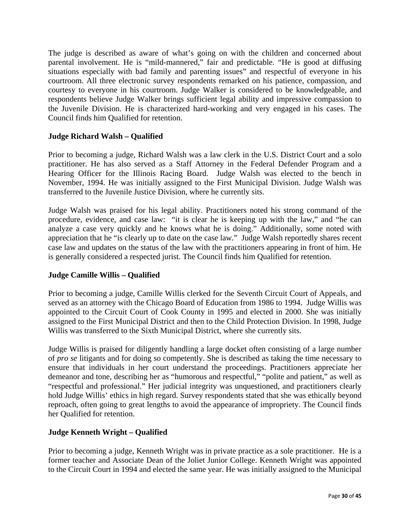The judge is described as aware of what's going on with the children and concerned about parental involvement. He is "mild-mannered," fair and predictable. "He is good at diffusing situations especially with bad family and parenting issues" and respectful of everyone in his courtroom. All three electronic survey respondents remarked on his patience, compassion, and courtesy to everyone in his courtroom. Judge Walker is considered to be knowledgeable, and respondents believe Judge Walker brings sufficient legal ability and impressive compassion to the Juvenile Division. He is characterized hard-working and very engaged in his cases. The Council finds him Qualified for retention.

## **Judge Richard Walsh – Qualified**

Prior to becoming a judge, Richard Walsh was a law clerk in the U.S. District Court and a solo practitioner. He has also served as a Staff Attorney in the Federal Defender Program and a Hearing Officer for the Illinois Racing Board. Judge Walsh was elected to the bench in November, 1994. He was initially assigned to the First Municipal Division. Judge Walsh was transferred to the Juvenile Justice Division, where he currently sits.

Judge Walsh was praised for his legal ability. Practitioners noted his strong command of the procedure, evidence, and case law: "it is clear he is keeping up with the law," and "he can analyze a case very quickly and he knows what he is doing." Additionally, some noted with appreciation that he "is clearly up to date on the case law." Judge Walsh reportedly shares recent case law and updates on the status of the law with the practitioners appearing in front of him. He is generally considered a respected jurist. The Council finds him Qualified for retention.

## **Judge Camille Willis – Qualified**

Prior to becoming a judge, Camille Willis clerked for the Seventh Circuit Court of Appeals, and served as an attorney with the Chicago Board of Education from 1986 to 1994. Judge Willis was appointed to the Circuit Court of Cook County in 1995 and elected in 2000. She was initially assigned to the First Municipal District and then to the Child Protection Division. In 1998, Judge Willis was transferred to the Sixth Municipal District, where she currently sits.

Judge Willis is praised for diligently handling a large docket often consisting of a large number of *pro se* litigants and for doing so competently. She is described as taking the time necessary to ensure that individuals in her court understand the proceedings. Practitioners appreciate her demeanor and tone, describing her as "humorous and respectful," "polite and patient," as well as "respectful and professional." Her judicial integrity was unquestioned, and practitioners clearly hold Judge Willis' ethics in high regard. Survey respondents stated that she was ethically beyond reproach, often going to great lengths to avoid the appearance of impropriety. The Council finds her Qualified for retention.

## **Judge Kenneth Wright – Qualified**

Prior to becoming a judge, Kenneth Wright was in private practice as a sole practitioner. He is a former teacher and Associate Dean of the Joliet Junior College. Kenneth Wright was appointed to the Circuit Court in 1994 and elected the same year. He was initially assigned to the Municipal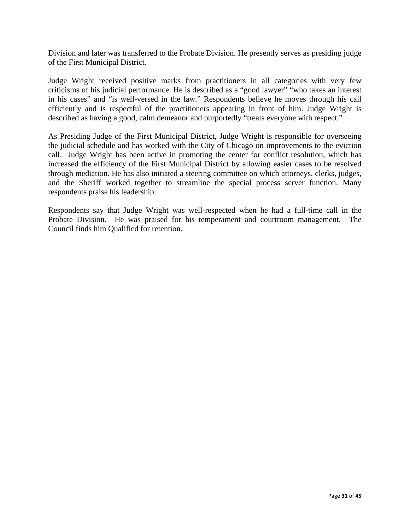Division and later was transferred to the Probate Division. He presently serves as presiding judge of the First Municipal District.

Judge Wright received positive marks from practitioners in all categories with very few criticisms of his judicial performance. He is described as a "good lawyer" "who takes an interest in his cases" and "is well-versed in the law." Respondents believe he moves through his call efficiently and is respectful of the practitioners appearing in front of him. Judge Wright is described as having a good, calm demeanor and purportedly "treats everyone with respect."

As Presiding Judge of the First Municipal District, Judge Wright is responsible for overseeing the judicial schedule and has worked with the City of Chicago on improvements to the eviction call. Judge Wright has been active in promoting the center for conflict resolution, which has increased the efficiency of the First Municipal District by allowing easier cases to be resolved through mediation. He has also initiated a steering committee on which attorneys, clerks, judges, and the Sheriff worked together to streamline the special process server function. Many respondents praise his leadership.

Respondents say that Judge Wright was well-respected when he had a full-time call in the Probate Division. He was praised for his temperament and courtroom management. The Council finds him Qualified for retention.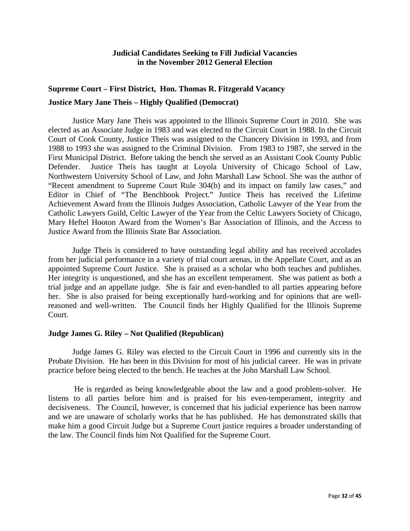## **Judicial Candidates Seeking to Fill Judicial Vacancies in the November 2012 General Election**

## **Supreme Court – First District, Hon. Thomas R. Fitzgerald Vacancy Justice Mary Jane Theis – Highly Qualified (Democrat)**

 Justice Mary Jane Theis was appointed to the Illinois Supreme Court in 2010. She was elected as an Associate Judge in 1983 and was elected to the Circuit Court in 1988. In the Circuit Court of Cook County, Justice Theis was assigned to the Chancery Division in 1993, and from 1988 to 1993 she was assigned to the Criminal Division. From 1983 to 1987, she served in the First Municipal District. Before taking the bench she served as an Assistant Cook County Public Defender. Justice Theis has taught at Loyola University of Chicago School of Law, Northwestern University School of Law, and John Marshall Law School. She was the author of "Recent amendment to Supreme Court Rule 304(b) and its impact on family law cases," and Editor in Chief of "The Benchbook Project." Justice Theis has received the Lifetime Achievement Award from the Illinois Judges Association, Catholic Lawyer of the Year from the Catholic Lawyers Guild, Celtic Lawyer of the Year from the Celtic Lawyers Society of Chicago, Mary Heftel Hooton Award from the Women's Bar Association of Illinois, and the Access to Justice Award from the Illinois State Bar Association.

 Judge Theis is considered to have outstanding legal ability and has received accolades from her judicial performance in a variety of trial court arenas, in the Appellate Court, and as an appointed Supreme Court Justice. She is praised as a scholar who both teaches and publishes. Her integrity is unquestioned, and she has an excellent temperament. She was patient as both a trial judge and an appellate judge. She is fair and even-handled to all parties appearing before her. She is also praised for being exceptionally hard-working and for opinions that are wellreasoned and well-written. The Council finds her Highly Qualified for the Illinois Supreme Court.

#### **Judge James G. Riley – Not Qualified (Republican)**

Judge James G. Riley was elected to the Circuit Court in 1996 and currently sits in the Probate Division. He has been in this Division for most of his judicial career. He was in private practice before being elected to the bench. He teaches at the John Marshall Law School.

 He is regarded as being knowledgeable about the law and a good problem-solver. He listens to all parties before him and is praised for his even-temperament, integrity and decisiveness. The Council, however, is concerned that his judicial experience has been narrow and we are unaware of scholarly works that he has published. He has demonstrated skills that make him a good Circuit Judge but a Supreme Court justice requires a broader understanding of the law. The Council finds him Not Qualified for the Supreme Court.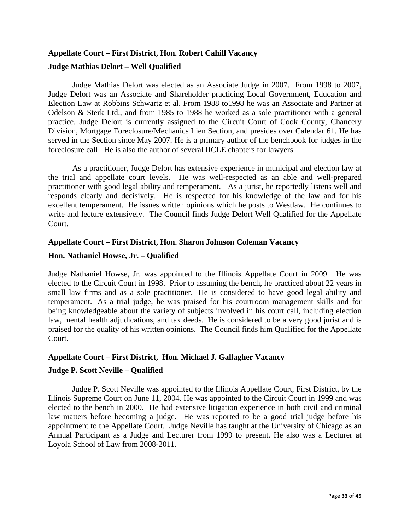## **Appellate Court – First District, Hon. Robert Cahill Vacancy Judge Mathias Delort – Well Qualified**

Judge Mathias Delort was elected as an Associate Judge in 2007. From 1998 to 2007, Judge Delort was an Associate and Shareholder practicing Local Government, Education and Election Law at Robbins Schwartz et al. From 1988 to1998 he was an Associate and Partner at Odelson & Sterk Ltd., and from 1985 to 1988 he worked as a sole practitioner with a general practice. Judge Delort is currently assigned to the Circuit Court of Cook County, Chancery Division, Mortgage Foreclosure/Mechanics Lien Section, and presides over Calendar 61. He has served in the Section since May 2007. He is a primary author of the benchbook for judges in the foreclosure call. He is also the author of several IICLE chapters for lawyers.

 As a practitioner, Judge Delort has extensive experience in municipal and election law at the trial and appellate court levels. He was well-respected as an able and well-prepared practitioner with good legal ability and temperament. As a jurist, he reportedly listens well and responds clearly and decisively. He is respected for his knowledge of the law and for his excellent temperament. He issues written opinions which he posts to Westlaw. He continues to write and lecture extensively. The Council finds Judge Delort Well Qualified for the Appellate Court.

## **Appellate Court – First District, Hon. Sharon Johnson Coleman Vacancy**

## **Hon. Nathaniel Howse, Jr. – Qualified**

Judge Nathaniel Howse, Jr. was appointed to the Illinois Appellate Court in 2009. He was elected to the Circuit Court in 1998. Prior to assuming the bench, he practiced about 22 years in small law firms and as a sole practitioner. He is considered to have good legal ability and temperament. As a trial judge, he was praised for his courtroom management skills and for being knowledgeable about the variety of subjects involved in his court call, including election law, mental health adjudications, and tax deeds. He is considered to be a very good jurist and is praised for the quality of his written opinions. The Council finds him Qualified for the Appellate Court.

## **Appellate Court – First District, Hon. Michael J. Gallagher Vacancy**

## **Judge P. Scott Neville – Qualified**

Judge P. Scott Neville was appointed to the Illinois Appellate Court, First District, by the Illinois Supreme Court on June 11, 2004. He was appointed to the Circuit Court in 1999 and was elected to the bench in 2000. He had extensive litigation experience in both civil and criminal law matters before becoming a judge. He was reported to be a good trial judge before his appointment to the Appellate Court. Judge Neville has taught at the University of Chicago as an Annual Participant as a Judge and Lecturer from 1999 to present. He also was a Lecturer at Loyola School of Law from 2008-2011.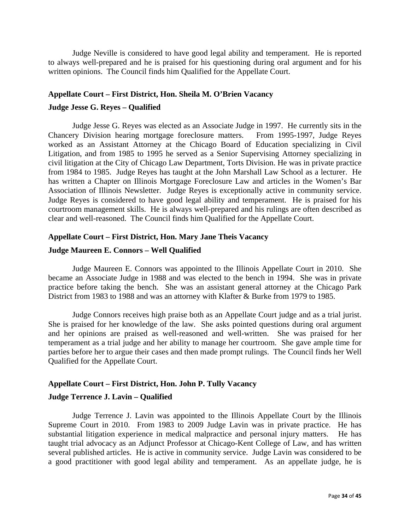Judge Neville is considered to have good legal ability and temperament. He is reported to always well-prepared and he is praised for his questioning during oral argument and for his written opinions. The Council finds him Qualified for the Appellate Court.

## **Appellate Court – First District, Hon. Sheila M. O'Brien Vacancy**

#### **Judge Jesse G. Reyes – Qualified**

 Judge Jesse G. Reyes was elected as an Associate Judge in 1997. He currently sits in the Chancery Division hearing mortgage foreclosure matters. From 1995-1997, Judge Reyes worked as an Assistant Attorney at the Chicago Board of Education specializing in Civil Litigation, and from 1985 to 1995 he served as a Senior Supervising Attorney specializing in civil litigation at the City of Chicago Law Department, Torts Division. He was in private practice from 1984 to 1985. Judge Reyes has taught at the John Marshall Law School as a lecturer. He has written a Chapter on Illinois Mortgage Foreclosure Law and articles in the Women's Bar Association of Illinois Newsletter. Judge Reyes is exceptionally active in community service. Judge Reyes is considered to have good legal ability and temperament. He is praised for his courtroom management skills. He is always well-prepared and his rulings are often described as clear and well-reasoned. The Council finds him Qualified for the Appellate Court.

#### **Appellate Court – First District, Hon. Mary Jane Theis Vacancy**

#### **Judge Maureen E. Connors – Well Qualified**

Judge Maureen E. Connors was appointed to the Illinois Appellate Court in 2010. She became an Associate Judge in 1988 and was elected to the bench in 1994. She was in private practice before taking the bench. She was an assistant general attorney at the Chicago Park District from 1983 to 1988 and was an attorney with Klafter & Burke from 1979 to 1985.

 Judge Connors receives high praise both as an Appellate Court judge and as a trial jurist. She is praised for her knowledge of the law. She asks pointed questions during oral argument and her opinions are praised as well-reasoned and well-written. She was praised for her temperament as a trial judge and her ability to manage her courtroom. She gave ample time for parties before her to argue their cases and then made prompt rulings. The Council finds her Well Qualified for the Appellate Court.

#### **Appellate Court – First District, Hon. John P. Tully Vacancy**

#### **Judge Terrence J. Lavin – Qualified**

Judge Terrence J. Lavin was appointed to the Illinois Appellate Court by the Illinois Supreme Court in 2010. From 1983 to 2009 Judge Lavin was in private practice. He has substantial litigation experience in medical malpractice and personal injury matters. He has taught trial advocacy as an Adjunct Professor at Chicago-Kent College of Law, and has written several published articles. He is active in community service. Judge Lavin was considered to be a good practitioner with good legal ability and temperament. As an appellate judge, he is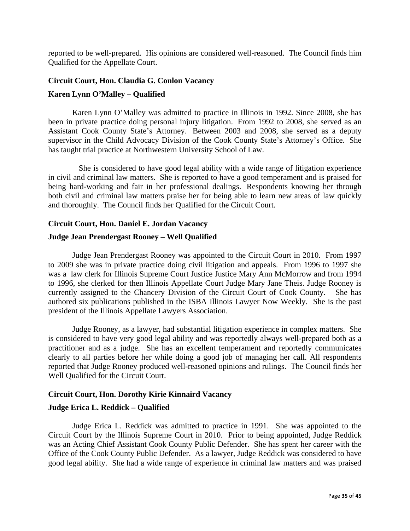reported to be well-prepared. His opinions are considered well-reasoned. The Council finds him Qualified for the Appellate Court.

## **Circuit Court, Hon. Claudia G. Conlon Vacancy Karen Lynn O'Malley – Qualified**

Karen Lynn O'Malley was admitted to practice in Illinois in 1992. Since 2008, she has been in private practice doing personal injury litigation. From 1992 to 2008, she served as an Assistant Cook County State's Attorney. Between 2003 and 2008, she served as a deputy supervisor in the Child Advocacy Division of the Cook County State's Attorney's Office. She has taught trial practice at Northwestern University School of Law.

She is considered to have good legal ability with a wide range of litigation experience in civil and criminal law matters. She is reported to have a good temperament and is praised for being hard-working and fair in her professional dealings. Respondents knowing her through both civil and criminal law matters praise her for being able to learn new areas of law quickly and thoroughly. The Council finds her Qualified for the Circuit Court.

## **Circuit Court, Hon. Daniel E. Jordan Vacancy**

## **Judge Jean Prendergast Rooney – Well Qualified**

 Judge Jean Prendergast Rooney was appointed to the Circuit Court in 2010. From 1997 to 2009 she was in private practice doing civil litigation and appeals. From 1996 to 1997 she was a law clerk for Illinois Supreme Court Justice Justice Mary Ann McMorrow and from 1994 to 1996, she clerked for then Illinois Appellate Court Judge Mary Jane Theis. Judge Rooney is currently assigned to the Chancery Division of the Circuit Court of Cook County. She has authored six publications published in the ISBA Illinois Lawyer Now Weekly. She is the past president of the Illinois Appellate Lawyers Association.

 Judge Rooney, as a lawyer, had substantial litigation experience in complex matters. She is considered to have very good legal ability and was reportedly always well-prepared both as a practitioner and as a judge. She has an excellent temperament and reportedly communicates clearly to all parties before her while doing a good job of managing her call. All respondents reported that Judge Rooney produced well-reasoned opinions and rulings. The Council finds her Well Qualified for the Circuit Court.

## **Circuit Court, Hon. Dorothy Kirie Kinnaird Vacancy**

#### **Judge Erica L. Reddick – Qualified**

 Judge Erica L. Reddick was admitted to practice in 1991. She was appointed to the Circuit Court by the Illinois Supreme Court in 2010. Prior to being appointed, Judge Reddick was an Acting Chief Assistant Cook County Public Defender. She has spent her career with the Office of the Cook County Public Defender. As a lawyer, Judge Reddick was considered to have good legal ability. She had a wide range of experience in criminal law matters and was praised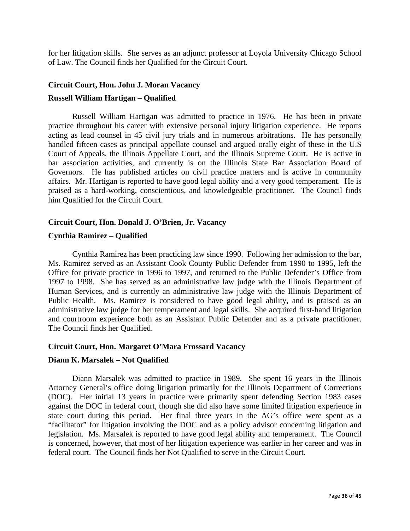for her litigation skills. She serves as an adjunct professor at Loyola University Chicago School of Law. The Council finds her Qualified for the Circuit Court.

#### **Circuit Court, Hon. John J. Moran Vacancy**

#### **Russell William Hartigan – Qualified**

Russell William Hartigan was admitted to practice in 1976. He has been in private practice throughout his career with extensive personal injury litigation experience. He reports acting as lead counsel in 45 civil jury trials and in numerous arbitrations. He has personally handled fifteen cases as principal appellate counsel and argued orally eight of these in the U.S Court of Appeals, the Illinois Appellate Court, and the Illinois Supreme Court. He is active in bar association activities, and currently is on the Illinois State Bar Association Board of Governors. He has published articles on civil practice matters and is active in community affairs. Mr. Hartigan is reported to have good legal ability and a very good temperament. He is praised as a hard-working, conscientious, and knowledgeable practitioner. The Council finds him Qualified for the Circuit Court.

#### **Circuit Court, Hon. Donald J. O'Brien, Jr. Vacancy**

#### **Cynthia Ramirez – Qualified**

Cynthia Ramirez has been practicing law since 1990. Following her admission to the bar, Ms. Ramirez served as an Assistant Cook County Public Defender from 1990 to 1995, left the Office for private practice in 1996 to 1997, and returned to the Public Defender's Office from 1997 to 1998. She has served as an administrative law judge with the Illinois Department of Human Services, and is currently an administrative law judge with the Illinois Department of Public Health. Ms. Ramirez is considered to have good legal ability, and is praised as an administrative law judge for her temperament and legal skills. She acquired first-hand litigation and courtroom experience both as an Assistant Public Defender and as a private practitioner. The Council finds her Qualified.

#### **Circuit Court, Hon. Margaret O'Mara Frossard Vacancy**

#### **Diann K. Marsalek – Not Qualified**

Diann Marsalek was admitted to practice in 1989. She spent 16 years in the Illinois Attorney General's office doing litigation primarily for the Illinois Department of Corrections (DOC). Her initial 13 years in practice were primarily spent defending Section 1983 cases against the DOC in federal court, though she did also have some limited litigation experience in state court during this period. Her final three years in the AG's office were spent as a "facilitator" for litigation involving the DOC and as a policy advisor concerning litigation and legislation. Ms. Marsalek is reported to have good legal ability and temperament. The Council is concerned, however, that most of her litigation experience was earlier in her career and was in federal court. The Council finds her Not Qualified to serve in the Circuit Court.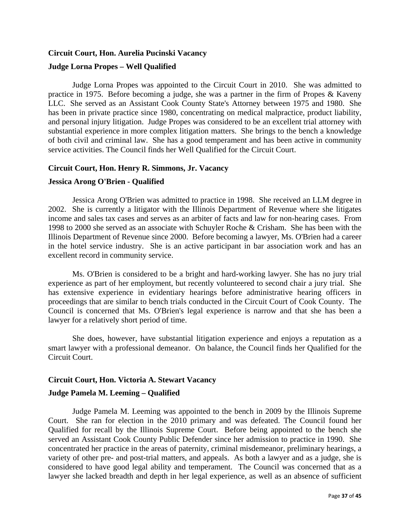## **Circuit Court, Hon. Aurelia Pucinski Vacancy Judge Lorna Propes – Well Qualified**

Judge Lorna Propes was appointed to the Circuit Court in 2010. She was admitted to practice in 1975. Before becoming a judge, she was a partner in the firm of Propes & Kaveny LLC. She served as an Assistant Cook County State's Attorney between 1975 and 1980. She has been in private practice since 1980, concentrating on medical malpractice, product liability, and personal injury litigation. Judge Propes was considered to be an excellent trial attorney with substantial experience in more complex litigation matters. She brings to the bench a knowledge of both civil and criminal law. She has a good temperament and has been active in community service activities. The Council finds her Well Qualified for the Circuit Court.

## **Circuit Court, Hon. Henry R. Simmons, Jr. Vacancy**

## **Jessica Arong O'Brien - Qualified**

Jessica Arong O'Brien was admitted to practice in 1998. She received an LLM degree in 2002. She is currently a litigator with the Illinois Department of Revenue where she litigates income and sales tax cases and serves as an arbiter of facts and law for non-hearing cases. From 1998 to 2000 she served as an associate with Schuyler Roche & Crisham. She has been with the Illinois Department of Revenue since 2000. Before becoming a lawyer, Ms. O'Brien had a career in the hotel service industry. She is an active participant in bar association work and has an excellent record in community service.

Ms. O'Brien is considered to be a bright and hard-working lawyer. She has no jury trial experience as part of her employment, but recently volunteered to second chair a jury trial. She has extensive experience in evidentiary hearings before administrative hearing officers in proceedings that are similar to bench trials conducted in the Circuit Court of Cook County. The Council is concerned that Ms. O'Brien's legal experience is narrow and that she has been a lawyer for a relatively short period of time.

She does, however, have substantial litigation experience and enjoys a reputation as a smart lawyer with a professional demeanor. On balance, the Council finds her Qualified for the Circuit Court.

## **Circuit Court, Hon. Victoria A. Stewart Vacancy**

## **Judge Pamela M. Leeming – Qualified**

 Judge Pamela M. Leeming was appointed to the bench in 2009 by the Illinois Supreme Court. She ran for election in the 2010 primary and was defeated. The Council found her Qualified for recall by the Illinois Supreme Court. Before being appointed to the bench she served an Assistant Cook County Public Defender since her admission to practice in 1990. She concentrated her practice in the areas of paternity, criminal misdemeanor, preliminary hearings, a variety of other pre- and post-trial matters, and appeals. As both a lawyer and as a judge, she is considered to have good legal ability and temperament. The Council was concerned that as a lawyer she lacked breadth and depth in her legal experience, as well as an absence of sufficient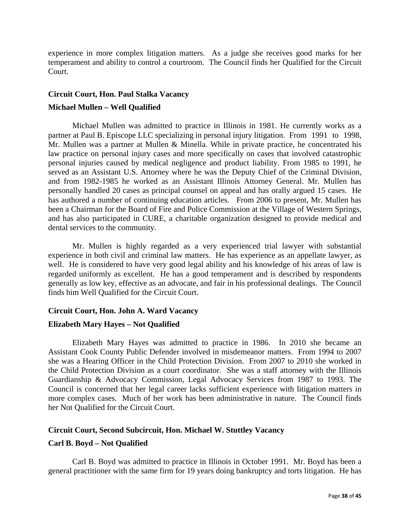experience in more complex litigation matters. As a judge she receives good marks for her temperament and ability to control a courtroom. The Council finds her Qualified for the Circuit Court.

## **Circuit Court, Hon. Paul Stalka Vacancy**

## **Michael Mullen – Well Qualified**

Michael Mullen was admitted to practice in Illinois in 1981. He currently works as a partner at Paul B. Episcope LLC specializing in personal injury litigation. From 1991 to 1998, Mr. Mullen was a partner at Mullen & Minella. While in private practice, he concentrated his law practice on personal injury cases and more specifically on cases that involved catastrophic personal injuries caused by medical negligence and product liability. From 1985 to 1991, he served as an Assistant U.S. Attorney where he was the Deputy Chief of the Criminal Division, and from 1982-1985 he worked as an Assistant Illinois Attorney General. Mr. Mullen has personally handled 20 cases as principal counsel on appeal and has orally argued 15 cases. He has authored a number of continuing education articles. From 2006 to present, Mr. Mullen has been a Chairman for the Board of Fire and Police Commission at the Village of Western Springs, and has also participated in CURE, a charitable organization designed to provide medical and dental services to the community.

 Mr. Mullen is highly regarded as a very experienced trial lawyer with substantial experience in both civil and criminal law matters. He has experience as an appellate lawyer, as well. He is considered to have very good legal ability and his knowledge of his areas of law is regarded uniformly as excellent. He has a good temperament and is described by respondents generally as low key, effective as an advocate, and fair in his professional dealings. The Council finds him Well Qualified for the Circuit Court.

## **Circuit Court, Hon. John A. Ward Vacancy**

#### **Elizabeth Mary Hayes – Not Qualified**

Elizabeth Mary Hayes was admitted to practice in 1986. In 2010 she became an Assistant Cook County Public Defender involved in misdemeanor matters. From 1994 to 2007 she was a Hearing Officer in the Child Protection Division. From 2007 to 2010 she worked in the Child Protection Division as a court coordinator. She was a staff attorney with the Illinois Guardianship & Advocacy Commission, Legal Advocacy Services from 1987 to 1993. The Council is concerned that her legal career lacks sufficient experience with litigation matters in more complex cases. Much of her work has been administrative in nature. The Council finds her Not Qualified for the Circuit Court.

## **Circuit Court, Second Subcircuit, Hon. Michael W. Stuttley Vacancy**

## **Carl B. Boyd – Not Qualified**

 Carl B. Boyd was admitted to practice in Illinois in October 1991. Mr. Boyd has been a general practitioner with the same firm for 19 years doing bankruptcy and torts litigation. He has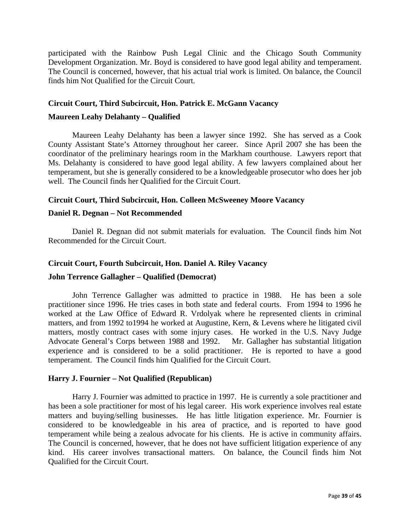participated with the Rainbow Push Legal Clinic and the Chicago South Community Development Organization. Mr. Boyd is considered to have good legal ability and temperament. The Council is concerned, however, that his actual trial work is limited. On balance, the Council finds him Not Qualified for the Circuit Court.

#### **Circuit Court, Third Subcircuit, Hon. Patrick E. McGann Vacancy**

#### **Maureen Leahy Delahanty – Qualified**

 Maureen Leahy Delahanty has been a lawyer since 1992. She has served as a Cook County Assistant State's Attorney throughout her career. Since April 2007 she has been the coordinator of the preliminary hearings room in the Markham courthouse. Lawyers report that Ms. Delahanty is considered to have good legal ability. A few lawyers complained about her temperament, but she is generally considered to be a knowledgeable prosecutor who does her job well. The Council finds her Qualified for the Circuit Court.

## **Circuit Court, Third Subcircuit, Hon. Colleen McSweeney Moore Vacancy**

#### **Daniel R. Degnan – Not Recommended**

Daniel R. Degnan did not submit materials for evaluation. The Council finds him Not Recommended for the Circuit Court.

#### **Circuit Court, Fourth Subcircuit, Hon. Daniel A. Riley Vacancy**

#### **John Terrence Gallagher – Qualified (Democrat)**

 John Terrence Gallagher was admitted to practice in 1988. He has been a sole practitioner since 1996. He tries cases in both state and federal courts. From 1994 to 1996 he worked at the Law Office of Edward R. Vrdolyak where he represented clients in criminal matters, and from 1992 to1994 he worked at Augustine, Kern, & Levens where he litigated civil matters, mostly contract cases with some injury cases. He worked in the U.S. Navy Judge Advocate General's Corps between 1988 and 1992. Mr. Gallagher has substantial litigation experience and is considered to be a solid practitioner. He is reported to have a good temperament. The Council finds him Qualified for the Circuit Court.

#### **Harry J. Fournier – Not Qualified (Republican)**

Harry J. Fournier was admitted to practice in 1997. He is currently a sole practitioner and has been a sole practitioner for most of his legal career. His work experience involves real estate matters and buying/selling businesses. He has little litigation experience. Mr. Fournier is considered to be knowledgeable in his area of practice, and is reported to have good temperament while being a zealous advocate for his clients. He is active in community affairs. The Council is concerned, however, that he does not have sufficient litigation experience of any kind. His career involves transactional matters. On balance, the Council finds him Not Qualified for the Circuit Court.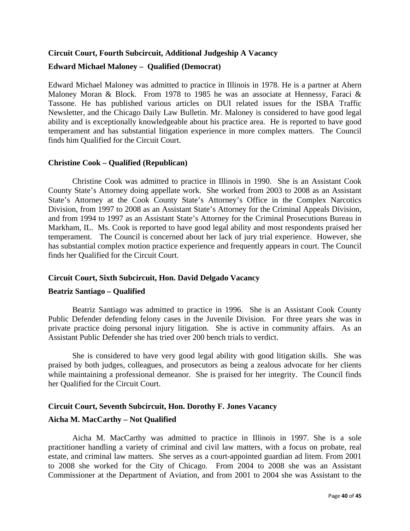## **Circuit Court, Fourth Subcircuit, Additional Judgeship A Vacancy Edward Michael Maloney – Qualified (Democrat)**

Edward Michael Maloney was admitted to practice in Illinois in 1978. He is a partner at Ahern Maloney Moran & Block. From 1978 to 1985 he was an associate at Hennessy, Faraci & Tassone. He has published various articles on DUI related issues for the ISBA Traffic Newsletter, and the Chicago Daily Law Bulletin. Mr. Maloney is considered to have good legal ability and is exceptionally knowledgeable about his practice area. He is reported to have good temperament and has substantial litigation experience in more complex matters. The Council finds him Qualified for the Circuit Court.

## **Christine Cook – Qualified (Republican)**

 Christine Cook was admitted to practice in Illinois in 1990. She is an Assistant Cook County State's Attorney doing appellate work. She worked from 2003 to 2008 as an Assistant State's Attorney at the Cook County State's Attorney's Office in the Complex Narcotics Division, from 1997 to 2008 as an Assistant State's Attorney for the Criminal Appeals Division, and from 1994 to 1997 as an Assistant State's Attorney for the Criminal Prosecutions Bureau in Markham, IL. Ms. Cook is reported to have good legal ability and most respondents praised her temperament. The Council is concerned about her lack of jury trial experience. However, she has substantial complex motion practice experience and frequently appears in court. The Council finds her Qualified for the Circuit Court.

## **Circuit Court, Sixth Subcircuit, Hon. David Delgado Vacancy**

#### **Beatriz Santiago – Qualified**

Beatriz Santiago was admitted to practice in 1996. She is an Assistant Cook County Public Defender defending felony cases in the Juvenile Division. For three years she was in private practice doing personal injury litigation. She is active in community affairs. As an Assistant Public Defender she has tried over 200 bench trials to verdict.

 She is considered to have very good legal ability with good litigation skills. She was praised by both judges, colleagues, and prosecutors as being a zealous advocate for her clients while maintaining a professional demeanor. She is praised for her integrity. The Council finds her Qualified for the Circuit Court.

## **Circuit Court, Seventh Subcircuit, Hon. Dorothy F. Jones Vacancy**

#### **Aicha M. MacCarthy – Not Qualified**

Aicha M. MacCarthy was admitted to practice in Illinois in 1997. She is a sole practitioner handling a variety of criminal and civil law matters, with a focus on probate, real estate, and criminal law matters. She serves as a court-appointed guardian ad litem. From 2001 to 2008 she worked for the City of Chicago. From 2004 to 2008 she was an Assistant Commissioner at the Department of Aviation, and from 2001 to 2004 she was Assistant to the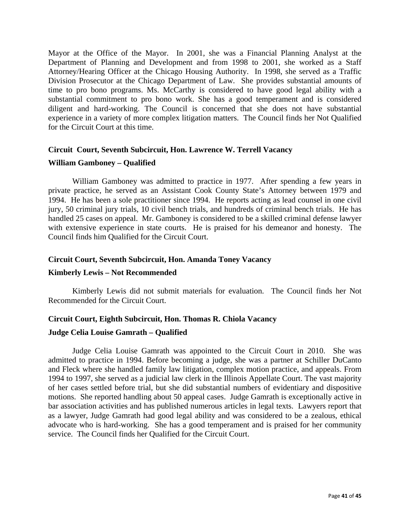Mayor at the Office of the Mayor. In 2001, she was a Financial Planning Analyst at the Department of Planning and Development and from 1998 to 2001, she worked as a Staff Attorney/Hearing Officer at the Chicago Housing Authority. In 1998, she served as a Traffic Division Prosecutor at the Chicago Department of Law. She provides substantial amounts of time to pro bono programs. Ms. McCarthy is considered to have good legal ability with a substantial commitment to pro bono work. She has a good temperament and is considered diligent and hard-working. The Council is concerned that she does not have substantial experience in a variety of more complex litigation matters. The Council finds her Not Qualified for the Circuit Court at this time.

## **Circuit Court, Seventh Subcircuit, Hon. Lawrence W. Terrell Vacancy**

#### **William Gamboney – Qualified**

William Gamboney was admitted to practice in 1977. After spending a few years in private practice, he served as an Assistant Cook County State's Attorney between 1979 and 1994. He has been a sole practitioner since 1994. He reports acting as lead counsel in one civil jury, 50 criminal jury trials, 10 civil bench trials, and hundreds of criminal bench trials. He has handled 25 cases on appeal. Mr. Gamboney is considered to be a skilled criminal defense lawyer with extensive experience in state courts. He is praised for his demeanor and honesty. The Council finds him Qualified for the Circuit Court.

## **Circuit Court, Seventh Subcircuit, Hon. Amanda Toney Vacancy**

#### **Kimberly Lewis – Not Recommended**

Kimberly Lewis did not submit materials for evaluation. The Council finds her Not Recommended for the Circuit Court.

# **Circuit Court, Eighth Subcircuit, Hon. Thomas R. Chiola Vacancy**

## **Judge Celia Louise Gamrath – Qualified**

Judge Celia Louise Gamrath was appointed to the Circuit Court in 2010. She was admitted to practice in 1994. Before becoming a judge, she was a partner at Schiller DuCanto and Fleck where she handled family law litigation, complex motion practice, and appeals. From 1994 to 1997, she served as a judicial law clerk in the Illinois Appellate Court. The vast majority of her cases settled before trial, but she did substantial numbers of evidentiary and dispositive motions. She reported handling about 50 appeal cases. Judge Gamrath is exceptionally active in bar association activities and has published numerous articles in legal texts. Lawyers report that as a lawyer, Judge Gamrath had good legal ability and was considered to be a zealous, ethical advocate who is hard-working. She has a good temperament and is praised for her community service. The Council finds her Qualified for the Circuit Court.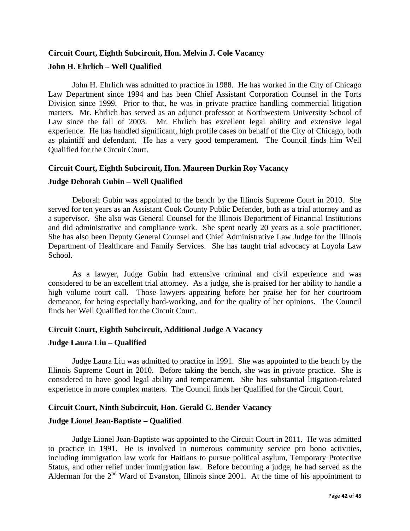## **Circuit Court, Eighth Subcircuit, Hon. Melvin J. Cole Vacancy John H. Ehrlich – Well Qualified**

 John H. Ehrlich was admitted to practice in 1988. He has worked in the City of Chicago Law Department since 1994 and has been Chief Assistant Corporation Counsel in the Torts Division since 1999. Prior to that, he was in private practice handling commercial litigation matters. Mr. Ehrlich has served as an adjunct professor at Northwestern University School of Law since the fall of 2003. Mr. Ehrlich has excellent legal ability and extensive legal experience. He has handled significant, high profile cases on behalf of the City of Chicago, both as plaintiff and defendant. He has a very good temperament. The Council finds him Well Qualified for the Circuit Court.

## **Circuit Court, Eighth Subcircuit, Hon. Maureen Durkin Roy Vacancy**

## **Judge Deborah Gubin – Well Qualified**

 Deborah Gubin was appointed to the bench by the Illinois Supreme Court in 2010. She served for ten years as an Assistant Cook County Public Defender, both as a trial attorney and as a supervisor. She also was General Counsel for the Illinois Department of Financial Institutions and did administrative and compliance work. She spent nearly 20 years as a sole practitioner. She has also been Deputy General Counsel and Chief Administrative Law Judge for the Illinois Department of Healthcare and Family Services. She has taught trial advocacy at Loyola Law School.

 As a lawyer, Judge Gubin had extensive criminal and civil experience and was considered to be an excellent trial attorney. As a judge, she is praised for her ability to handle a high volume court call. Those lawyers appearing before her praise her for her courtroom demeanor, for being especially hard-working, and for the quality of her opinions. The Council finds her Well Qualified for the Circuit Court.

## **Circuit Court, Eighth Subcircuit, Additional Judge A Vacancy**

#### **Judge Laura Liu – Qualified**

 Judge Laura Liu was admitted to practice in 1991. She was appointed to the bench by the Illinois Supreme Court in 2010. Before taking the bench, she was in private practice. She is considered to have good legal ability and temperament. She has substantial litigation-related experience in more complex matters. The Council finds her Qualified for the Circuit Court.

## **Circuit Court, Ninth Subcircuit, Hon. Gerald C. Bender Vacancy**

## **Judge Lionel Jean-Baptiste – Qualified**

Judge Lionel Jean-Baptiste was appointed to the Circuit Court in 2011. He was admitted to practice in 1991. He is involved in numerous community service pro bono activities, including immigration law work for Haitians to pursue political asylum, Temporary Protective Status, and other relief under immigration law. Before becoming a judge, he had served as the Alderman for the 2<sup>nd</sup> Ward of Evanston, Illinois since 2001. At the time of his appointment to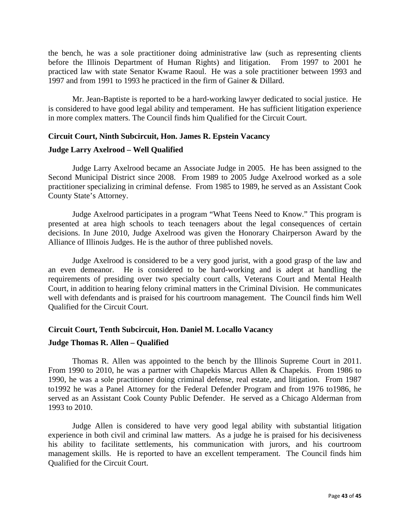the bench, he was a sole practitioner doing administrative law (such as representing clients before the Illinois Department of Human Rights) and litigation. From 1997 to 2001 he practiced law with state Senator Kwame Raoul. He was a sole practitioner between 1993 and 1997 and from 1991 to 1993 he practiced in the firm of Gainer & Dillard.

Mr. Jean-Baptiste is reported to be a hard-working lawyer dedicated to social justice. He is considered to have good legal ability and temperament. He has sufficient litigation experience in more complex matters. The Council finds him Qualified for the Circuit Court.

## **Circuit Court, Ninth Subcircuit, Hon. James R. Epstein Vacancy**

#### **Judge Larry Axelrood – Well Qualified**

 Judge Larry Axelrood became an Associate Judge in 2005. He has been assigned to the Second Municipal District since 2008. From 1989 to 2005 Judge Axelrood worked as a sole practitioner specializing in criminal defense. From 1985 to 1989, he served as an Assistant Cook County State's Attorney.

Judge Axelrood participates in a program "What Teens Need to Know." This program is presented at area high schools to teach teenagers about the legal consequences of certain decisions. In June 2010, Judge Axelrood was given the Honorary Chairperson Award by the Alliance of Illinois Judges. He is the author of three published novels.

 Judge Axelrood is considered to be a very good jurist, with a good grasp of the law and an even demeanor. He is considered to be hard-working and is adept at handling the requirements of presiding over two specialty court calls, Veterans Court and Mental Health Court, in addition to hearing felony criminal matters in the Criminal Division. He communicates well with defendants and is praised for his courtroom management. The Council finds him Well Qualified for the Circuit Court.

#### **Circuit Court, Tenth Subcircuit, Hon. Daniel M. Locallo Vacancy**

## **Judge Thomas R. Allen – Qualified**

Thomas R. Allen was appointed to the bench by the Illinois Supreme Court in 2011. From 1990 to 2010, he was a partner with Chapekis Marcus Allen & Chapekis. From 1986 to 1990, he was a sole practitioner doing criminal defense, real estate, and litigation. From 1987 to1992 he was a Panel Attorney for the Federal Defender Program and from 1976 to1986, he served as an Assistant Cook County Public Defender. He served as a Chicago Alderman from 1993 to 2010.

 Judge Allen is considered to have very good legal ability with substantial litigation experience in both civil and criminal law matters. As a judge he is praised for his decisiveness his ability to facilitate settlements, his communication with jurors, and his courtroom management skills. He is reported to have an excellent temperament. The Council finds him Qualified for the Circuit Court.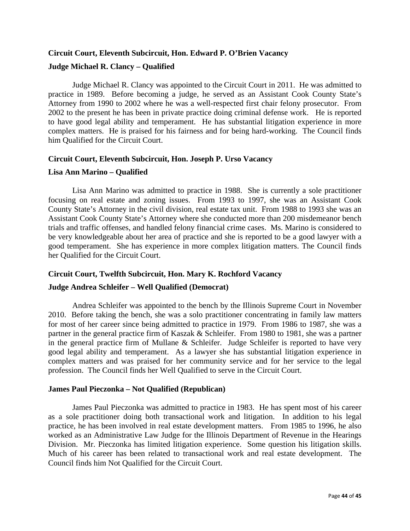## **Circuit Court, Eleventh Subcircuit, Hon. Edward P. O'Brien Vacancy Judge Michael R. Clancy – Qualified**

Judge Michael R. Clancy was appointed to the Circuit Court in 2011. He was admitted to practice in 1989. Before becoming a judge, he served as an Assistant Cook County State's Attorney from 1990 to 2002 where he was a well-respected first chair felony prosecutor. From 2002 to the present he has been in private practice doing criminal defense work. He is reported to have good legal ability and temperament. He has substantial litigation experience in more complex matters. He is praised for his fairness and for being hard-working. The Council finds him Qualified for the Circuit Court.

## **Circuit Court, Eleventh Subcircuit, Hon. Joseph P. Urso Vacancy**

#### **Lisa Ann Marino – Qualified**

Lisa Ann Marino was admitted to practice in 1988. She is currently a sole practitioner focusing on real estate and zoning issues. From 1993 to 1997, she was an Assistant Cook County State's Attorney in the civil division, real estate tax unit. From 1988 to 1993 she was an Assistant Cook County State's Attorney where she conducted more than 200 misdemeanor bench trials and traffic offenses, and handled felony financial crime cases. Ms. Marino is considered to be very knowledgeable about her area of practice and she is reported to be a good lawyer with a good temperament. She has experience in more complex litigation matters. The Council finds her Qualified for the Circuit Court.

## **Circuit Court, Twelfth Subcircuit, Hon. Mary K. Rochford Vacancy**

## **Judge Andrea Schleifer – Well Qualified (Democrat)**

 Andrea Schleifer was appointed to the bench by the Illinois Supreme Court in November 2010. Before taking the bench, she was a solo practitioner concentrating in family law matters for most of her career since being admitted to practice in 1979. From 1986 to 1987, she was a partner in the general practice firm of Kaszak & Schleifer. From 1980 to 1981, she was a partner in the general practice firm of Mullane & Schleifer. Judge Schleifer is reported to have very good legal ability and temperament. As a lawyer she has substantial litigation experience in complex matters and was praised for her community service and for her service to the legal profession. The Council finds her Well Qualified to serve in the Circuit Court.

#### **James Paul Pieczonka – Not Qualified (Republican)**

 James Paul Pieczonka was admitted to practice in 1983. He has spent most of his career as a sole practitioner doing both transactional work and litigation. In addition to his legal practice, he has been involved in real estate development matters. From 1985 to 1996, he also worked as an Administrative Law Judge for the Illinois Department of Revenue in the Hearings Division. Mr. Pieczonka has limited litigation experience. Some question his litigation skills. Much of his career has been related to transactional work and real estate development. The Council finds him Not Qualified for the Circuit Court.